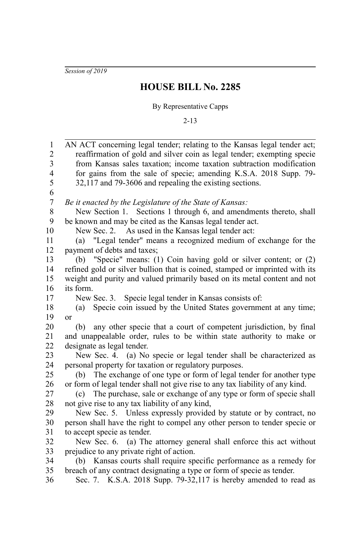*Session of 2019*

## **HOUSE BILL No. 2285**

## By Representative Capps

2-13

| 1                                                  | AN ACT concerning legal tender; relating to the Kansas legal tender act;      |
|----------------------------------------------------|-------------------------------------------------------------------------------|
| $\overline{2}$                                     | reaffirmation of gold and silver coin as legal tender; exempting specie       |
| $\overline{\mathbf{3}}$<br>$\overline{\mathbf{4}}$ | from Kansas sales taxation; income taxation subtraction modification          |
| 5                                                  | for gains from the sale of specie; amending K.S.A. 2018 Supp. 79-             |
| 6                                                  | 32,117 and 79-3606 and repealing the existing sections.                       |
| $\boldsymbol{7}$                                   | Be it enacted by the Legislature of the State of Kansas:                      |
| 8                                                  | New Section 1. Sections 1 through 6, and amendments thereto, shall            |
| 9                                                  | be known and may be cited as the Kansas legal tender act.                     |
| 10                                                 | New Sec. 2. As used in the Kansas legal tender act:                           |
| 11                                                 | "Legal tender" means a recognized medium of exchange for the<br>(a)           |
| 12                                                 | payment of debts and taxes;                                                   |
| 13                                                 | (b) "Specie" means: (1) Coin having gold or silver content; or (2)            |
| 14                                                 | refined gold or silver bullion that is coined, stamped or imprinted with its  |
| 15                                                 | weight and purity and valued primarily based on its metal content and not     |
| 16                                                 | its form.                                                                     |
| 17                                                 | New Sec. 3. Specie legal tender in Kansas consists of:                        |
| 18                                                 | Specie coin issued by the United States government at any time;<br>(a)        |
| 19                                                 | or                                                                            |
| 20                                                 | any other specie that a court of competent jurisdiction, by final<br>(b)      |
| 21                                                 | and unappealable order, rules to be within state authority to make or         |
| 22                                                 | designate as legal tender.                                                    |
| 23                                                 | New Sec. 4. (a) No specie or legal tender shall be characterized as           |
| 24                                                 | personal property for taxation or regulatory purposes.                        |
| 25                                                 | (b) The exchange of one type or form of legal tender for another type         |
| 26                                                 | or form of legal tender shall not give rise to any tax liability of any kind. |
| 27                                                 | (c) The purchase, sale or exchange of any type or form of specie shall        |
| 28                                                 | not give rise to any tax liability of any kind,                               |
| 29                                                 | New Sec. 5. Unless expressly provided by statute or by contract, no           |
| 30                                                 | person shall have the right to compel any other person to tender specie or    |
| 31                                                 | to accept specie as tender.                                                   |
| 32                                                 | New Sec. 6. (a) The attorney general shall enforce this act without           |
| 33                                                 | prejudice to any private right of action.                                     |
| 34                                                 | (b) Kansas courts shall require specific performance as a remedy for          |
| 35                                                 | breach of any contract designating a type or form of specie as tender.        |
| 36                                                 | Sec. 7. K.S.A. 2018 Supp. 79-32,117 is hereby amended to read as              |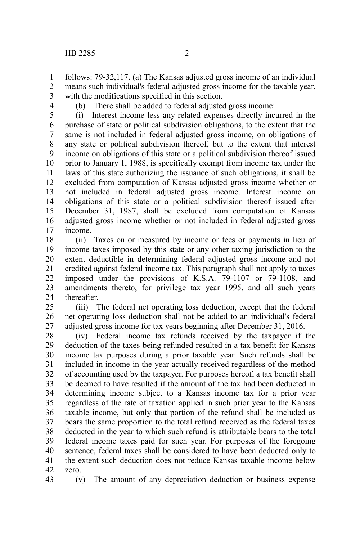4

follows: 79-32,117. (a) The Kansas adjusted gross income of an individual means such individual's federal adjusted gross income for the taxable year, with the modifications specified in this section. 1 2 3

(b) There shall be added to federal adjusted gross income:

(i) Interest income less any related expenses directly incurred in the purchase of state or political subdivision obligations, to the extent that the same is not included in federal adjusted gross income, on obligations of any state or political subdivision thereof, but to the extent that interest income on obligations of this state or a political subdivision thereof issued prior to January 1, 1988, is specifically exempt from income tax under the laws of this state authorizing the issuance of such obligations, it shall be excluded from computation of Kansas adjusted gross income whether or not included in federal adjusted gross income. Interest income on obligations of this state or a political subdivision thereof issued after December 31, 1987, shall be excluded from computation of Kansas adjusted gross income whether or not included in federal adjusted gross income. 5 6 7 8 9 10 11 12 13 14 15 16 17

(ii) Taxes on or measured by income or fees or payments in lieu of income taxes imposed by this state or any other taxing jurisdiction to the extent deductible in determining federal adjusted gross income and not credited against federal income tax. This paragraph shall not apply to taxes imposed under the provisions of K.S.A. 79-1107 or 79-1108, and amendments thereto, for privilege tax year 1995, and all such years thereafter. 18 19 20 21 22 23 24

(iii) The federal net operating loss deduction, except that the federal net operating loss deduction shall not be added to an individual's federal adjusted gross income for tax years beginning after December 31, 2016. 25 26 27

(iv) Federal income tax refunds received by the taxpayer if the deduction of the taxes being refunded resulted in a tax benefit for Kansas income tax purposes during a prior taxable year. Such refunds shall be included in income in the year actually received regardless of the method of accounting used by the taxpayer. For purposes hereof, a tax benefit shall be deemed to have resulted if the amount of the tax had been deducted in determining income subject to a Kansas income tax for a prior year regardless of the rate of taxation applied in such prior year to the Kansas taxable income, but only that portion of the refund shall be included as bears the same proportion to the total refund received as the federal taxes deducted in the year to which such refund is attributable bears to the total federal income taxes paid for such year. For purposes of the foregoing sentence, federal taxes shall be considered to have been deducted only to the extent such deduction does not reduce Kansas taxable income below zero. 28 29 30 31 32 33 34 35 36 37 38 39 40 41 42

(v) The amount of any depreciation deduction or business expense 43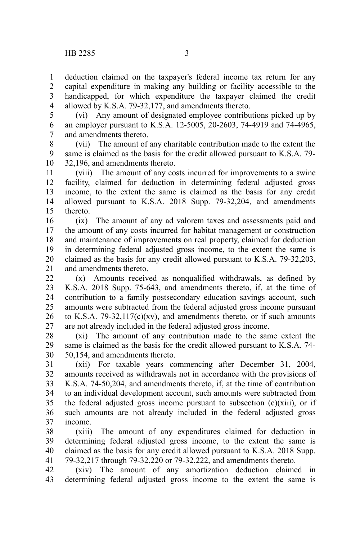deduction claimed on the taxpayer's federal income tax return for any capital expenditure in making any building or facility accessible to the handicapped, for which expenditure the taxpayer claimed the credit allowed by K.S.A. 79-32,177, and amendments thereto. 1 2 3 4

(vi) Any amount of designated employee contributions picked up by an employer pursuant to K.S.A. 12-5005, 20-2603, 74-4919 and 74-4965, and amendments thereto. 5 6 7

(vii) The amount of any charitable contribution made to the extent the same is claimed as the basis for the credit allowed pursuant to K.S.A. 79- 32,196, and amendments thereto. 8 9 10

(viii) The amount of any costs incurred for improvements to a swine facility, claimed for deduction in determining federal adjusted gross income, to the extent the same is claimed as the basis for any credit allowed pursuant to K.S.A. 2018 Supp. 79-32,204, and amendments thereto. 11 12 13 14 15

(ix) The amount of any ad valorem taxes and assessments paid and the amount of any costs incurred for habitat management or construction and maintenance of improvements on real property, claimed for deduction in determining federal adjusted gross income, to the extent the same is claimed as the basis for any credit allowed pursuant to K.S.A. 79-32,203, and amendments thereto. 16 17 18 19 20 21

(x) Amounts received as nonqualified withdrawals, as defined by K.S.A. 2018 Supp. 75-643, and amendments thereto, if, at the time of contribution to a family postsecondary education savings account, such amounts were subtracted from the federal adjusted gross income pursuant to K.S.A.  $79-32,117(c)(xv)$ , and amendments thereto, or if such amounts are not already included in the federal adjusted gross income. 22 23 24 25 26 27

(xi) The amount of any contribution made to the same extent the same is claimed as the basis for the credit allowed pursuant to K.S.A. 74- 50,154, and amendments thereto. 28 29 30

(xii) For taxable years commencing after December 31, 2004, amounts received as withdrawals not in accordance with the provisions of K.S.A. 74-50,204, and amendments thereto, if, at the time of contribution to an individual development account, such amounts were subtracted from the federal adjusted gross income pursuant to subsection  $(c)(xiii)$ , or if such amounts are not already included in the federal adjusted gross income. 31 32 33 34 35 36 37

(xiii) The amount of any expenditures claimed for deduction in determining federal adjusted gross income, to the extent the same is claimed as the basis for any credit allowed pursuant to K.S.A. 2018 Supp. 79-32,217 through 79-32,220 or 79-32,222, and amendments thereto. 38 39 40 41

(xiv) The amount of any amortization deduction claimed in determining federal adjusted gross income to the extent the same is 42 43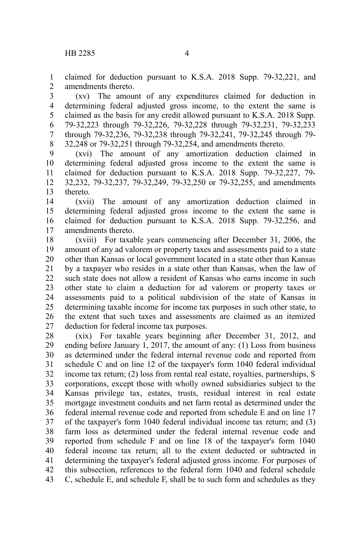claimed for deduction pursuant to K.S.A. 2018 Supp. 79-32,221, and amendments thereto. 1 2

(xv) The amount of any expenditures claimed for deduction in determining federal adjusted gross income, to the extent the same is claimed as the basis for any credit allowed pursuant to K.S.A. 2018 Supp. 79-32,223 through 79-32,226, 79-32,228 through 79-32,231, 79-32,233 through 79-32,236, 79-32,238 through 79-32,241, 79-32,245 through 79- 32,248 or 79-32,251 through 79-32,254, and amendments thereto. 3 4 5 6 7 8

(xvi) The amount of any amortization deduction claimed in determining federal adjusted gross income to the extent the same is claimed for deduction pursuant to K.S.A. 2018 Supp. 79-32,227, 79- 32,232, 79-32,237, 79-32,249, 79-32,250 or 79-32,255, and amendments thereto. 9 10 11 12 13

(xvii) The amount of any amortization deduction claimed in determining federal adjusted gross income to the extent the same is claimed for deduction pursuant to K.S.A. 2018 Supp. 79-32,256, and amendments thereto. 14 15 16 17

(xviii) For taxable years commencing after December 31, 2006, the amount of any ad valorem or property taxes and assessments paid to a state other than Kansas or local government located in a state other than Kansas by a taxpayer who resides in a state other than Kansas, when the law of such state does not allow a resident of Kansas who earns income in such other state to claim a deduction for ad valorem or property taxes or assessments paid to a political subdivision of the state of Kansas in determining taxable income for income tax purposes in such other state, to the extent that such taxes and assessments are claimed as an itemized deduction for federal income tax purposes. 18 19 20 21 22 23 24 25 26 27

(xix) For taxable years beginning after December 31, 2012, and ending before January 1, 2017, the amount of any: (1) Loss from business as determined under the federal internal revenue code and reported from schedule C and on line 12 of the taxpayer's form 1040 federal individual income tax return; (2) loss from rental real estate, royalties, partnerships, S corporations, except those with wholly owned subsidiaries subject to the Kansas privilege tax, estates, trusts, residual interest in real estate mortgage investment conduits and net farm rental as determined under the federal internal revenue code and reported from schedule E and on line 17 of the taxpayer's form 1040 federal individual income tax return; and (3) farm loss as determined under the federal internal revenue code and reported from schedule F and on line 18 of the taxpayer's form 1040 federal income tax return; all to the extent deducted or subtracted in determining the taxpayer's federal adjusted gross income. For purposes of this subsection, references to the federal form 1040 and federal schedule C, schedule E, and schedule F, shall be to such form and schedules as they 28 29 30 31 32 33 34 35 36 37 38 39 40 41 42 43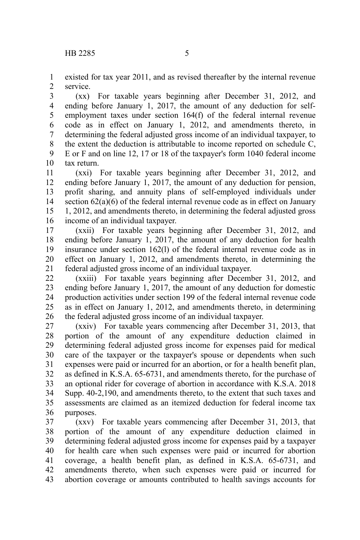existed for tax year 2011, and as revised thereafter by the internal revenue service. 1 2

(xx) For taxable years beginning after December 31, 2012, and ending before January 1, 2017, the amount of any deduction for selfemployment taxes under section 164(f) of the federal internal revenue code as in effect on January 1, 2012, and amendments thereto, in determining the federal adjusted gross income of an individual taxpayer, to the extent the deduction is attributable to income reported on schedule C, E or F and on line 12, 17 or 18 of the taxpayer's form 1040 federal income tax return. 3 4 5 6 7 8 9 10

(xxi) For taxable years beginning after December 31, 2012, and ending before January 1, 2017, the amount of any deduction for pension, profit sharing, and annuity plans of self-employed individuals under section 62(a)(6) of the federal internal revenue code as in effect on January 1, 2012, and amendments thereto, in determining the federal adjusted gross income of an individual taxpayer. 11 12 13 14 15 16

(xxii) For taxable years beginning after December 31, 2012, and ending before January 1, 2017, the amount of any deduction for health insurance under section 162(l) of the federal internal revenue code as in effect on January 1, 2012, and amendments thereto, in determining the federal adjusted gross income of an individual taxpayer. 17 18 19 20 21

(xxiii) For taxable years beginning after December 31, 2012, and ending before January 1, 2017, the amount of any deduction for domestic production activities under section 199 of the federal internal revenue code as in effect on January 1, 2012, and amendments thereto, in determining the federal adjusted gross income of an individual taxpayer. 22 23 24 25 26

(xxiv) For taxable years commencing after December 31, 2013, that portion of the amount of any expenditure deduction claimed in determining federal adjusted gross income for expenses paid for medical care of the taxpayer or the taxpayer's spouse or dependents when such expenses were paid or incurred for an abortion, or for a health benefit plan, as defined in K.S.A. 65-6731, and amendments thereto, for the purchase of an optional rider for coverage of abortion in accordance with K.S.A. 2018 Supp. 40-2,190, and amendments thereto, to the extent that such taxes and assessments are claimed as an itemized deduction for federal income tax purposes. 27 28 29 30 31 32 33 34 35 36

(xxv) For taxable years commencing after December 31, 2013, that portion of the amount of any expenditure deduction claimed in determining federal adjusted gross income for expenses paid by a taxpayer for health care when such expenses were paid or incurred for abortion coverage, a health benefit plan, as defined in K.S.A. 65-6731, and amendments thereto, when such expenses were paid or incurred for abortion coverage or amounts contributed to health savings accounts for 37 38 39 40 41 42 43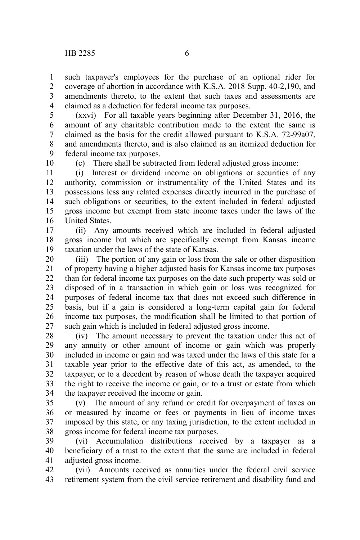such taxpayer's employees for the purchase of an optional rider for coverage of abortion in accordance with K.S.A. 2018 Supp. 40-2,190, and amendments thereto, to the extent that such taxes and assessments are claimed as a deduction for federal income tax purposes. 1 2 3 4

(xxvi) For all taxable years beginning after December 31, 2016, the amount of any charitable contribution made to the extent the same is claimed as the basis for the credit allowed pursuant to K.S.A. 72-99a07, and amendments thereto, and is also claimed as an itemized deduction for federal income tax purposes. 5 6 7 8 9

10

(c) There shall be subtracted from federal adjusted gross income:

(i) Interest or dividend income on obligations or securities of any authority, commission or instrumentality of the United States and its possessions less any related expenses directly incurred in the purchase of such obligations or securities, to the extent included in federal adjusted gross income but exempt from state income taxes under the laws of the United States. 11 12 13 14 15 16

(ii) Any amounts received which are included in federal adjusted gross income but which are specifically exempt from Kansas income taxation under the laws of the state of Kansas. 17 18 19

(iii) The portion of any gain or loss from the sale or other disposition of property having a higher adjusted basis for Kansas income tax purposes than for federal income tax purposes on the date such property was sold or disposed of in a transaction in which gain or loss was recognized for purposes of federal income tax that does not exceed such difference in basis, but if a gain is considered a long-term capital gain for federal income tax purposes, the modification shall be limited to that portion of such gain which is included in federal adjusted gross income. 20 21 22 23 24 25 26 27

(iv) The amount necessary to prevent the taxation under this act of any annuity or other amount of income or gain which was properly included in income or gain and was taxed under the laws of this state for a taxable year prior to the effective date of this act, as amended, to the taxpayer, or to a decedent by reason of whose death the taxpayer acquired the right to receive the income or gain, or to a trust or estate from which the taxpayer received the income or gain. 28 29 30 31 32 33 34

(v) The amount of any refund or credit for overpayment of taxes on or measured by income or fees or payments in lieu of income taxes imposed by this state, or any taxing jurisdiction, to the extent included in gross income for federal income tax purposes. 35 36 37 38

(vi) Accumulation distributions received by a taxpayer as a beneficiary of a trust to the extent that the same are included in federal adjusted gross income. 39 40 41

(vii) Amounts received as annuities under the federal civil service retirement system from the civil service retirement and disability fund and 42 43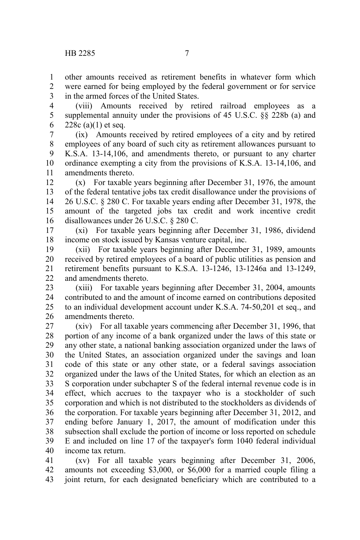other amounts received as retirement benefits in whatever form which were earned for being employed by the federal government or for service in the armed forces of the United States. 1 2 3

(viii) Amounts received by retired railroad employees as a supplemental annuity under the provisions of 45 U.S.C. §§ 228b (a) and 228c (a) $(1)$  et seq. 4 5 6

(ix) Amounts received by retired employees of a city and by retired employees of any board of such city as retirement allowances pursuant to K.S.A. 13-14,106, and amendments thereto, or pursuant to any charter ordinance exempting a city from the provisions of K.S.A. 13-14,106, and amendments thereto. 7 8 9 10 11

(x) For taxable years beginning after December 31, 1976, the amount of the federal tentative jobs tax credit disallowance under the provisions of 26 U.S.C. § 280 C. For taxable years ending after December 31, 1978, the amount of the targeted jobs tax credit and work incentive credit disallowances under 26 U.S.C. § 280 C. 12 13 14 15 16

(xi) For taxable years beginning after December 31, 1986, dividend income on stock issued by Kansas venture capital, inc. 17 18

(xii) For taxable years beginning after December 31, 1989, amounts received by retired employees of a board of public utilities as pension and retirement benefits pursuant to K.S.A. 13-1246, 13-1246a and 13-1249, and amendments thereto. 19 20 21 22

(xiii) For taxable years beginning after December 31, 2004, amounts contributed to and the amount of income earned on contributions deposited to an individual development account under K.S.A. 74-50,201 et seq., and amendments thereto. 23 24 25 26

(xiv) For all taxable years commencing after December 31, 1996, that portion of any income of a bank organized under the laws of this state or any other state, a national banking association organized under the laws of the United States, an association organized under the savings and loan code of this state or any other state, or a federal savings association organized under the laws of the United States, for which an election as an S corporation under subchapter S of the federal internal revenue code is in effect, which accrues to the taxpayer who is a stockholder of such corporation and which is not distributed to the stockholders as dividends of the corporation. For taxable years beginning after December 31, 2012, and ending before January 1, 2017, the amount of modification under this subsection shall exclude the portion of income or loss reported on schedule E and included on line 17 of the taxpayer's form 1040 federal individual income tax return. 27 28 29 30 31 32 33 34 35 36 37 38 39 40

(xv) For all taxable years beginning after December 31, 2006, amounts not exceeding \$3,000, or \$6,000 for a married couple filing a joint return, for each designated beneficiary which are contributed to a 41 42 43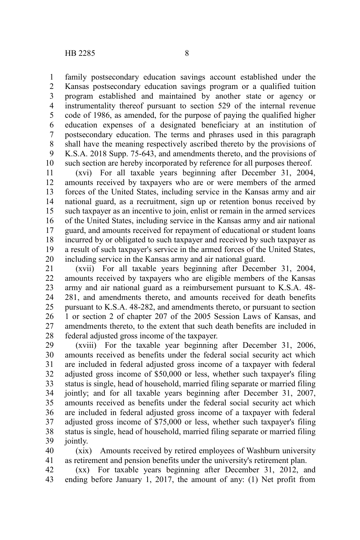family postsecondary education savings account established under the Kansas postsecondary education savings program or a qualified tuition program established and maintained by another state or agency or instrumentality thereof pursuant to section 529 of the internal revenue code of 1986, as amended, for the purpose of paying the qualified higher education expenses of a designated beneficiary at an institution of postsecondary education. The terms and phrases used in this paragraph shall have the meaning respectively ascribed thereto by the provisions of K.S.A. 2018 Supp. 75-643, and amendments thereto, and the provisions of such section are hereby incorporated by reference for all purposes thereof. 1 2 3 4 5 6 7 8 9 10

(xvi) For all taxable years beginning after December 31, 2004, amounts received by taxpayers who are or were members of the armed forces of the United States, including service in the Kansas army and air national guard, as a recruitment, sign up or retention bonus received by such taxpayer as an incentive to join, enlist or remain in the armed services of the United States, including service in the Kansas army and air national guard, and amounts received for repayment of educational or student loans incurred by or obligated to such taxpayer and received by such taxpayer as a result of such taxpayer's service in the armed forces of the United States, including service in the Kansas army and air national guard. 11 12 13 14 15 16 17 18 19 20

(xvii) For all taxable years beginning after December 31, 2004, amounts received by taxpayers who are eligible members of the Kansas army and air national guard as a reimbursement pursuant to K.S.A. 48- 281, and amendments thereto, and amounts received for death benefits pursuant to K.S.A. 48-282, and amendments thereto, or pursuant to section 1 or section 2 of chapter 207 of the 2005 Session Laws of Kansas, and amendments thereto, to the extent that such death benefits are included in federal adjusted gross income of the taxpayer. 21 22 23 24 25 26 27 28

(xviii) For the taxable year beginning after December 31, 2006, amounts received as benefits under the federal social security act which are included in federal adjusted gross income of a taxpayer with federal adjusted gross income of \$50,000 or less, whether such taxpayer's filing status is single, head of household, married filing separate or married filing jointly; and for all taxable years beginning after December 31, 2007, amounts received as benefits under the federal social security act which are included in federal adjusted gross income of a taxpayer with federal adjusted gross income of \$75,000 or less, whether such taxpayer's filing status is single, head of household, married filing separate or married filing jointly. 29 30 31 32 33 34 35 36 37 38 39

(xix) Amounts received by retired employees of Washburn university as retirement and pension benefits under the university's retirement plan. 40 41

(xx) For taxable years beginning after December 31, 2012, and ending before January 1, 2017, the amount of any: (1) Net profit from 42 43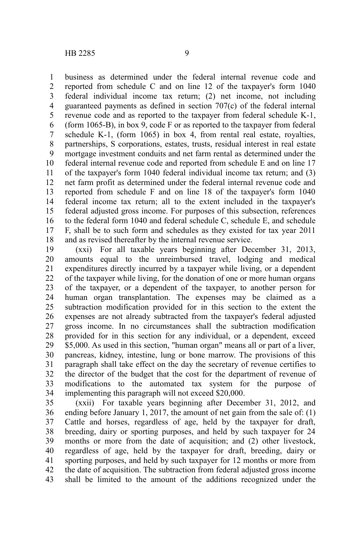business as determined under the federal internal revenue code and reported from schedule C and on line 12 of the taxpayer's form 1040 federal individual income tax return; (2) net income, not including guaranteed payments as defined in section 707(c) of the federal internal revenue code and as reported to the taxpayer from federal schedule K-1, (form 1065-B), in box 9, code F or as reported to the taxpayer from federal schedule K-1, (form 1065) in box 4, from rental real estate, royalties, partnerships, S corporations, estates, trusts, residual interest in real estate mortgage investment conduits and net farm rental as determined under the federal internal revenue code and reported from schedule E and on line 17 of the taxpayer's form 1040 federal individual income tax return; and (3) net farm profit as determined under the federal internal revenue code and reported from schedule F and on line 18 of the taxpayer's form 1040 federal income tax return; all to the extent included in the taxpayer's federal adjusted gross income. For purposes of this subsection, references to the federal form 1040 and federal schedule C, schedule E, and schedule F, shall be to such form and schedules as they existed for tax year 2011 and as revised thereafter by the internal revenue service. 1 2 3 4 5 6 7 8 9 10 11 12 13 14 15 16 17 18

(xxi) For all taxable years beginning after December 31, 2013, amounts equal to the unreimbursed travel, lodging and medical expenditures directly incurred by a taxpayer while living, or a dependent of the taxpayer while living, for the donation of one or more human organs of the taxpayer, or a dependent of the taxpayer, to another person for human organ transplantation. The expenses may be claimed as a subtraction modification provided for in this section to the extent the expenses are not already subtracted from the taxpayer's federal adjusted gross income. In no circumstances shall the subtraction modification provided for in this section for any individual, or a dependent, exceed \$5,000. As used in this section, "human organ" means all or part of a liver, pancreas, kidney, intestine, lung or bone marrow. The provisions of this paragraph shall take effect on the day the secretary of revenue certifies to the director of the budget that the cost for the department of revenue of modifications to the automated tax system for the purpose of implementing this paragraph will not exceed \$20,000. 19 20 21 22 23 24 25 26 27 28 29 30 31 32 33 34

(xxii) For taxable years beginning after December 31, 2012, and ending before January 1, 2017, the amount of net gain from the sale of: (1) Cattle and horses, regardless of age, held by the taxpayer for draft, breeding, dairy or sporting purposes, and held by such taxpayer for 24 months or more from the date of acquisition; and (2) other livestock, regardless of age, held by the taxpayer for draft, breeding, dairy or sporting purposes, and held by such taxpayer for 12 months or more from the date of acquisition. The subtraction from federal adjusted gross income shall be limited to the amount of the additions recognized under the 35 36 37 38 39 40 41 42 43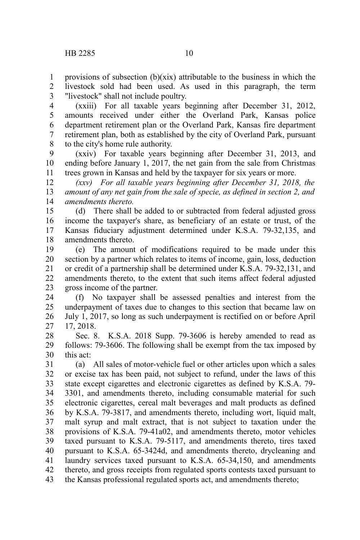provisions of subsection  $(b)(xix)$  attributable to the business in which the livestock sold had been used. As used in this paragraph, the term "livestock" shall not include poultry. 1 2 3

(xxiii) For all taxable years beginning after December 31, 2012, amounts received under either the Overland Park, Kansas police department retirement plan or the Overland Park, Kansas fire department retirement plan, both as established by the city of Overland Park, pursuant to the city's home rule authority. 4 5 6 7 8

(xxiv) For taxable years beginning after December 31, 2013, and ending before January 1, 2017, the net gain from the sale from Christmas trees grown in Kansas and held by the taxpayer for six years or more. 9 10 11

*(xxv) For all taxable years beginning after December 31, 2018, the amount of any net gain from the sale of specie, as defined in section 2, and amendments thereto.* 12 13 14

(d) There shall be added to or subtracted from federal adjusted gross income the taxpayer's share, as beneficiary of an estate or trust, of the Kansas fiduciary adjustment determined under K.S.A. 79-32,135, and amendments thereto. 15 16 17 18

(e) The amount of modifications required to be made under this section by a partner which relates to items of income, gain, loss, deduction or credit of a partnership shall be determined under K.S.A. 79-32,131, and amendments thereto, to the extent that such items affect federal adjusted gross income of the partner. 19 20 21 22 23

(f) No taxpayer shall be assessed penalties and interest from the underpayment of taxes due to changes to this section that became law on July 1, 2017, so long as such underpayment is rectified on or before April 17, 2018. 24 25 26 27

Sec. 8. K.S.A. 2018 Supp. 79-3606 is hereby amended to read as follows: 79-3606. The following shall be exempt from the tax imposed by this act: 28 29 30

(a) All sales of motor-vehicle fuel or other articles upon which a sales or excise tax has been paid, not subject to refund, under the laws of this state except cigarettes and electronic cigarettes as defined by K.S.A. 79- 3301, and amendments thereto, including consumable material for such electronic cigarettes, cereal malt beverages and malt products as defined by K.S.A. 79-3817, and amendments thereto, including wort, liquid malt, malt syrup and malt extract, that is not subject to taxation under the provisions of K.S.A. 79-41a02, and amendments thereto, motor vehicles taxed pursuant to K.S.A. 79-5117, and amendments thereto, tires taxed pursuant to K.S.A. 65-3424d, and amendments thereto, drycleaning and laundry services taxed pursuant to K.S.A. 65-34,150, and amendments thereto, and gross receipts from regulated sports contests taxed pursuant to the Kansas professional regulated sports act, and amendments thereto; 31 32 33 34 35 36 37 38 39 40 41 42 43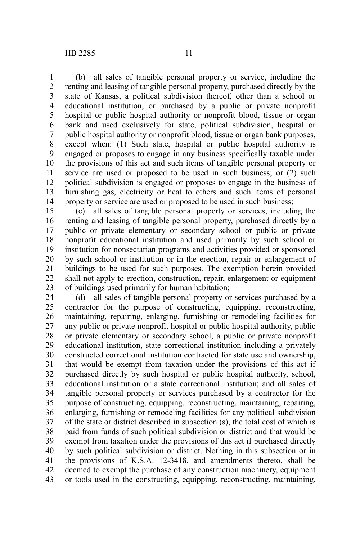(b) all sales of tangible personal property or service, including the renting and leasing of tangible personal property, purchased directly by the state of Kansas, a political subdivision thereof, other than a school or educational institution, or purchased by a public or private nonprofit hospital or public hospital authority or nonprofit blood, tissue or organ bank and used exclusively for state, political subdivision, hospital or public hospital authority or nonprofit blood, tissue or organ bank purposes, except when: (1) Such state, hospital or public hospital authority is engaged or proposes to engage in any business specifically taxable under the provisions of this act and such items of tangible personal property or service are used or proposed to be used in such business; or (2) such political subdivision is engaged or proposes to engage in the business of furnishing gas, electricity or heat to others and such items of personal property or service are used or proposed to be used in such business; 1 2 3 4 5 6 7 8 9 10 11 12 13 14

(c) all sales of tangible personal property or services, including the renting and leasing of tangible personal property, purchased directly by a public or private elementary or secondary school or public or private nonprofit educational institution and used primarily by such school or institution for nonsectarian programs and activities provided or sponsored by such school or institution or in the erection, repair or enlargement of buildings to be used for such purposes. The exemption herein provided shall not apply to erection, construction, repair, enlargement or equipment of buildings used primarily for human habitation; 15 16 17 18 19 20 21 22 23

(d) all sales of tangible personal property or services purchased by a contractor for the purpose of constructing, equipping, reconstructing, maintaining, repairing, enlarging, furnishing or remodeling facilities for any public or private nonprofit hospital or public hospital authority, public or private elementary or secondary school, a public or private nonprofit educational institution, state correctional institution including a privately constructed correctional institution contracted for state use and ownership, that would be exempt from taxation under the provisions of this act if purchased directly by such hospital or public hospital authority, school, educational institution or a state correctional institution; and all sales of tangible personal property or services purchased by a contractor for the purpose of constructing, equipping, reconstructing, maintaining, repairing, enlarging, furnishing or remodeling facilities for any political subdivision of the state or district described in subsection (s), the total cost of which is paid from funds of such political subdivision or district and that would be exempt from taxation under the provisions of this act if purchased directly by such political subdivision or district. Nothing in this subsection or in the provisions of K.S.A. 12-3418, and amendments thereto, shall be deemed to exempt the purchase of any construction machinery, equipment or tools used in the constructing, equipping, reconstructing, maintaining, 24 25 26 27 28 29 30 31 32 33 34 35 36 37 38 39 40 41 42 43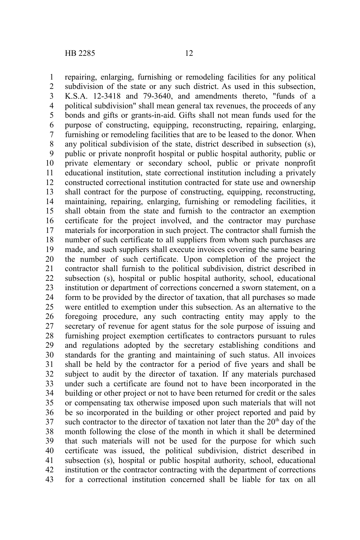repairing, enlarging, furnishing or remodeling facilities for any political subdivision of the state or any such district. As used in this subsection, K.S.A. 12-3418 and 79-3640, and amendments thereto, "funds of a political subdivision" shall mean general tax revenues, the proceeds of any bonds and gifts or grants-in-aid. Gifts shall not mean funds used for the purpose of constructing, equipping, reconstructing, repairing, enlarging, furnishing or remodeling facilities that are to be leased to the donor. When any political subdivision of the state, district described in subsection (s), public or private nonprofit hospital or public hospital authority, public or private elementary or secondary school, public or private nonprofit educational institution, state correctional institution including a privately constructed correctional institution contracted for state use and ownership shall contract for the purpose of constructing, equipping, reconstructing, maintaining, repairing, enlarging, furnishing or remodeling facilities, it shall obtain from the state and furnish to the contractor an exemption certificate for the project involved, and the contractor may purchase materials for incorporation in such project. The contractor shall furnish the number of such certificate to all suppliers from whom such purchases are made, and such suppliers shall execute invoices covering the same bearing the number of such certificate. Upon completion of the project the contractor shall furnish to the political subdivision, district described in subsection (s), hospital or public hospital authority, school, educational institution or department of corrections concerned a sworn statement, on a form to be provided by the director of taxation, that all purchases so made were entitled to exemption under this subsection. As an alternative to the foregoing procedure, any such contracting entity may apply to the secretary of revenue for agent status for the sole purpose of issuing and furnishing project exemption certificates to contractors pursuant to rules and regulations adopted by the secretary establishing conditions and standards for the granting and maintaining of such status. All invoices shall be held by the contractor for a period of five years and shall be subject to audit by the director of taxation. If any materials purchased under such a certificate are found not to have been incorporated in the building or other project or not to have been returned for credit or the sales or compensating tax otherwise imposed upon such materials that will not be so incorporated in the building or other project reported and paid by such contractor to the director of taxation not later than the  $20<sup>th</sup>$  day of the month following the close of the month in which it shall be determined that such materials will not be used for the purpose for which such certificate was issued, the political subdivision, district described in subsection (s), hospital or public hospital authority, school, educational institution or the contractor contracting with the department of corrections for a correctional institution concerned shall be liable for tax on all 1 2 3 4 5 6 7 8 9 10 11 12 13 14 15 16 17 18 19 20 21 22 23 24 25 26 27 28 29 30 31 32 33 34 35 36 37 38 39 40 41 42 43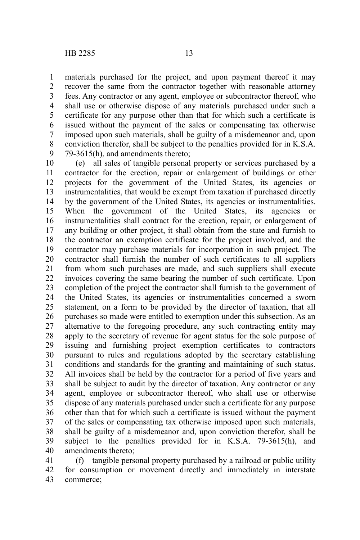materials purchased for the project, and upon payment thereof it may recover the same from the contractor together with reasonable attorney fees. Any contractor or any agent, employee or subcontractor thereof, who shall use or otherwise dispose of any materials purchased under such a certificate for any purpose other than that for which such a certificate is issued without the payment of the sales or compensating tax otherwise imposed upon such materials, shall be guilty of a misdemeanor and, upon conviction therefor, shall be subject to the penalties provided for in K.S.A. 79-3615(h), and amendments thereto; 1 2 3 4 5 6 7 8 9

(e) all sales of tangible personal property or services purchased by a contractor for the erection, repair or enlargement of buildings or other projects for the government of the United States, its agencies or instrumentalities, that would be exempt from taxation if purchased directly by the government of the United States, its agencies or instrumentalities. When the government of the United States, its agencies or instrumentalities shall contract for the erection, repair, or enlargement of any building or other project, it shall obtain from the state and furnish to the contractor an exemption certificate for the project involved, and the contractor may purchase materials for incorporation in such project. The contractor shall furnish the number of such certificates to all suppliers from whom such purchases are made, and such suppliers shall execute invoices covering the same bearing the number of such certificate. Upon completion of the project the contractor shall furnish to the government of the United States, its agencies or instrumentalities concerned a sworn statement, on a form to be provided by the director of taxation, that all purchases so made were entitled to exemption under this subsection. As an alternative to the foregoing procedure, any such contracting entity may apply to the secretary of revenue for agent status for the sole purpose of issuing and furnishing project exemption certificates to contractors pursuant to rules and regulations adopted by the secretary establishing conditions and standards for the granting and maintaining of such status. All invoices shall be held by the contractor for a period of five years and shall be subject to audit by the director of taxation. Any contractor or any agent, employee or subcontractor thereof, who shall use or otherwise dispose of any materials purchased under such a certificate for any purpose other than that for which such a certificate is issued without the payment of the sales or compensating tax otherwise imposed upon such materials, shall be guilty of a misdemeanor and, upon conviction therefor, shall be subject to the penalties provided for in K.S.A. 79-3615(h), and amendments thereto; 10 11 12 13 14 15 16 17 18 19 20 21 22 23 24 25 26 27 28 29 30 31 32 33 34 35 36 37 38 39 40

(f) tangible personal property purchased by a railroad or public utility for consumption or movement directly and immediately in interstate commerce; 41 42 43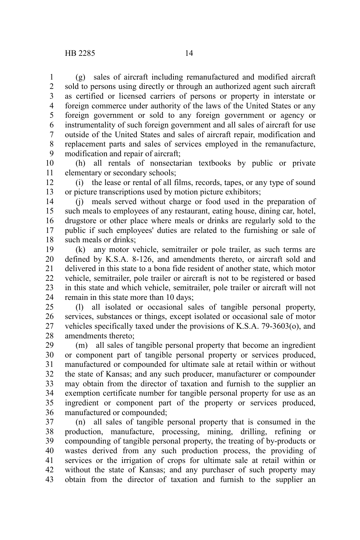(g) sales of aircraft including remanufactured and modified aircraft sold to persons using directly or through an authorized agent such aircraft as certified or licensed carriers of persons or property in interstate or foreign commerce under authority of the laws of the United States or any foreign government or sold to any foreign government or agency or instrumentality of such foreign government and all sales of aircraft for use outside of the United States and sales of aircraft repair, modification and replacement parts and sales of services employed in the remanufacture, modification and repair of aircraft; 1 2 3 4 5 6 7 8 9

(h) all rentals of nonsectarian textbooks by public or private elementary or secondary schools; 10 11

(i) the lease or rental of all films, records, tapes, or any type of sound or picture transcriptions used by motion picture exhibitors; 12 13

(j) meals served without charge or food used in the preparation of such meals to employees of any restaurant, eating house, dining car, hotel, drugstore or other place where meals or drinks are regularly sold to the public if such employees' duties are related to the furnishing or sale of such meals or drinks; 14 15 16 17 18

(k) any motor vehicle, semitrailer or pole trailer, as such terms are defined by K.S.A. 8-126, and amendments thereto, or aircraft sold and delivered in this state to a bona fide resident of another state, which motor vehicle, semitrailer, pole trailer or aircraft is not to be registered or based in this state and which vehicle, semitrailer, pole trailer or aircraft will not remain in this state more than 10 days; 19 20 21 22 23 24

(l) all isolated or occasional sales of tangible personal property, services, substances or things, except isolated or occasional sale of motor vehicles specifically taxed under the provisions of K.S.A. 79-3603(o), and amendments thereto; 25 26 27 28

(m) all sales of tangible personal property that become an ingredient or component part of tangible personal property or services produced, manufactured or compounded for ultimate sale at retail within or without the state of Kansas; and any such producer, manufacturer or compounder may obtain from the director of taxation and furnish to the supplier an exemption certificate number for tangible personal property for use as an ingredient or component part of the property or services produced, manufactured or compounded; 29 30 31 32 33 34 35 36

(n) all sales of tangible personal property that is consumed in the production, manufacture, processing, mining, drilling, refining or compounding of tangible personal property, the treating of by-products or wastes derived from any such production process, the providing of services or the irrigation of crops for ultimate sale at retail within or without the state of Kansas; and any purchaser of such property may obtain from the director of taxation and furnish to the supplier an 37 38 39 40 41 42 43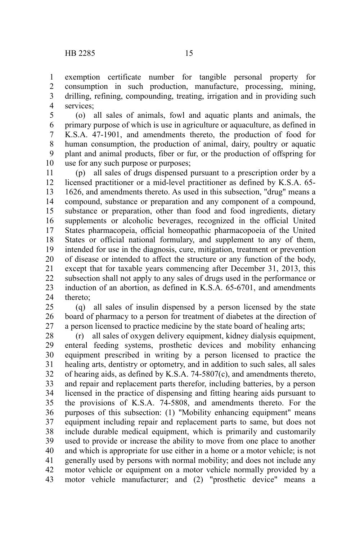exemption certificate number for tangible personal property for consumption in such production, manufacture, processing, mining, drilling, refining, compounding, treating, irrigation and in providing such services; 1 2 3 4

(o) all sales of animals, fowl and aquatic plants and animals, the primary purpose of which is use in agriculture or aquaculture, as defined in K.S.A. 47-1901, and amendments thereto, the production of food for human consumption, the production of animal, dairy, poultry or aquatic plant and animal products, fiber or fur, or the production of offspring for use for any such purpose or purposes; 5 6 7 8 9 10

(p) all sales of drugs dispensed pursuant to a prescription order by a licensed practitioner or a mid-level practitioner as defined by K.S.A. 65- 1626, and amendments thereto. As used in this subsection, "drug" means a compound, substance or preparation and any component of a compound, substance or preparation, other than food and food ingredients, dietary supplements or alcoholic beverages, recognized in the official United States pharmacopeia, official homeopathic pharmacopoeia of the United States or official national formulary, and supplement to any of them, intended for use in the diagnosis, cure, mitigation, treatment or prevention of disease or intended to affect the structure or any function of the body, except that for taxable years commencing after December 31, 2013, this subsection shall not apply to any sales of drugs used in the performance or induction of an abortion, as defined in K.S.A. 65-6701, and amendments thereto; 11 12 13 14 15 16 17 18 19 20 21 22 23 24

(q) all sales of insulin dispensed by a person licensed by the state board of pharmacy to a person for treatment of diabetes at the direction of a person licensed to practice medicine by the state board of healing arts; 25 26 27

(r) all sales of oxygen delivery equipment, kidney dialysis equipment, enteral feeding systems, prosthetic devices and mobility enhancing equipment prescribed in writing by a person licensed to practice the healing arts, dentistry or optometry, and in addition to such sales, all sales of hearing aids, as defined by K.S.A. 74-5807(c), and amendments thereto, and repair and replacement parts therefor, including batteries, by a person licensed in the practice of dispensing and fitting hearing aids pursuant to the provisions of K.S.A. 74-5808, and amendments thereto. For the purposes of this subsection: (1) "Mobility enhancing equipment" means equipment including repair and replacement parts to same, but does not include durable medical equipment, which is primarily and customarily used to provide or increase the ability to move from one place to another and which is appropriate for use either in a home or a motor vehicle; is not generally used by persons with normal mobility; and does not include any motor vehicle or equipment on a motor vehicle normally provided by a motor vehicle manufacturer; and (2) "prosthetic device" means a 28 29 30 31 32 33 34 35 36 37 38 39 40 41 42 43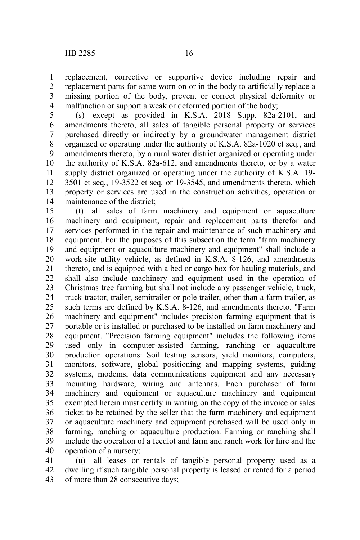replacement, corrective or supportive device including repair and replacement parts for same worn on or in the body to artificially replace a missing portion of the body, prevent or correct physical deformity or malfunction or support a weak or deformed portion of the body; 1 2 3 4

(s) except as provided in K.S.A. 2018 Supp. 82a-2101, and amendments thereto, all sales of tangible personal property or services purchased directly or indirectly by a groundwater management district organized or operating under the authority of K.S.A. 82a-1020 et seq*.*, and amendments thereto, by a rural water district organized or operating under the authority of K.S.A. 82a-612, and amendments thereto, or by a water supply district organized or operating under the authority of K.S.A. 19- 3501 et seq*.*, 19-3522 et seq*.* or 19-3545, and amendments thereto, which property or services are used in the construction activities, operation or maintenance of the district; 5 6 7 8 9 10 11 12 13 14

(t) all sales of farm machinery and equipment or aquaculture machinery and equipment, repair and replacement parts therefor and services performed in the repair and maintenance of such machinery and equipment. For the purposes of this subsection the term "farm machinery and equipment or aquaculture machinery and equipment" shall include a work-site utility vehicle, as defined in K.S.A. 8-126, and amendments thereto, and is equipped with a bed or cargo box for hauling materials, and shall also include machinery and equipment used in the operation of Christmas tree farming but shall not include any passenger vehicle, truck, truck tractor, trailer, semitrailer or pole trailer, other than a farm trailer, as such terms are defined by K.S.A. 8-126, and amendments thereto. "Farm machinery and equipment" includes precision farming equipment that is portable or is installed or purchased to be installed on farm machinery and equipment. "Precision farming equipment" includes the following items used only in computer-assisted farming, ranching or aquaculture production operations: Soil testing sensors, yield monitors, computers, monitors, software, global positioning and mapping systems, guiding systems, modems, data communications equipment and any necessary mounting hardware, wiring and antennas. Each purchaser of farm machinery and equipment or aquaculture machinery and equipment exempted herein must certify in writing on the copy of the invoice or sales ticket to be retained by the seller that the farm machinery and equipment or aquaculture machinery and equipment purchased will be used only in farming, ranching or aquaculture production. Farming or ranching shall include the operation of a feedlot and farm and ranch work for hire and the operation of a nursery; 15 16 17 18 19 20 21 22 23 24 25 26 27 28 29 30 31 32 33 34 35 36 37 38 39 40

(u) all leases or rentals of tangible personal property used as a dwelling if such tangible personal property is leased or rented for a period of more than 28 consecutive days; 41 42 43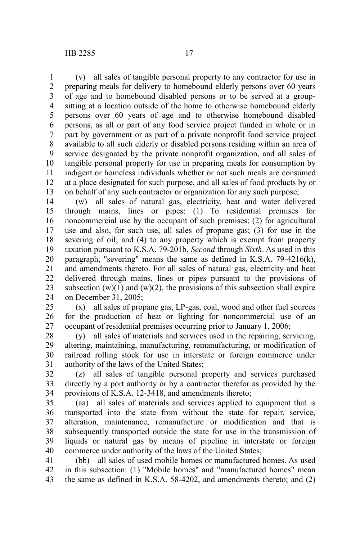(v) all sales of tangible personal property to any contractor for use in preparing meals for delivery to homebound elderly persons over 60 years of age and to homebound disabled persons or to be served at a groupsitting at a location outside of the home to otherwise homebound elderly persons over 60 years of age and to otherwise homebound disabled persons, as all or part of any food service project funded in whole or in part by government or as part of a private nonprofit food service project available to all such elderly or disabled persons residing within an area of service designated by the private nonprofit organization, and all sales of tangible personal property for use in preparing meals for consumption by indigent or homeless individuals whether or not such meals are consumed at a place designated for such purpose, and all sales of food products by or on behalf of any such contractor or organization for any such purpose; 1 2 3 4 5 6 7 8 9 10 11 12 13

(w) all sales of natural gas, electricity, heat and water delivered through mains, lines or pipes: (1) To residential premises for noncommercial use by the occupant of such premises; (2) for agricultural use and also, for such use, all sales of propane gas; (3) for use in the severing of oil; and (4) to any property which is exempt from property taxation pursuant to K.S.A. 79-201b, *Second* through *Sixth*. As used in this paragraph, "severing" means the same as defined in K.S.A. 79-4216(k), and amendments thereto. For all sales of natural gas, electricity and heat delivered through mains, lines or pipes pursuant to the provisions of subsection  $(w)(1)$  and  $(w)(2)$ , the provisions of this subsection shall expire on December 31, 2005; 14 15 16 17 18 19 20 21 22 23 24

(x) all sales of propane gas, LP-gas, coal, wood and other fuel sources for the production of heat or lighting for noncommercial use of an occupant of residential premises occurring prior to January 1, 2006; 25 26 27

(y) all sales of materials and services used in the repairing, servicing, altering, maintaining, manufacturing, remanufacturing, or modification of railroad rolling stock for use in interstate or foreign commerce under authority of the laws of the United States; 28 29 30 31

(z) all sales of tangible personal property and services purchased directly by a port authority or by a contractor therefor as provided by the provisions of K.S.A. 12-3418, and amendments thereto; 32 33 34

(aa) all sales of materials and services applied to equipment that is transported into the state from without the state for repair, service, alteration, maintenance, remanufacture or modification and that is subsequently transported outside the state for use in the transmission of liquids or natural gas by means of pipeline in interstate or foreign commerce under authority of the laws of the United States; 35 36 37 38 39 40

(bb) all sales of used mobile homes or manufactured homes. As used in this subsection: (1) "Mobile homes" and "manufactured homes" mean the same as defined in K.S.A. 58-4202, and amendments thereto; and (2) 41 42 43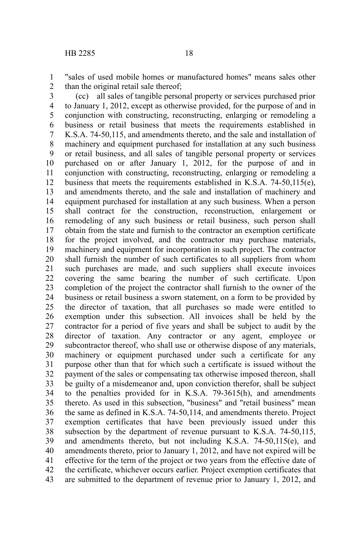"sales of used mobile homes or manufactured homes" means sales other than the original retail sale thereof; 1 2

(cc) all sales of tangible personal property or services purchased prior to January 1, 2012, except as otherwise provided, for the purpose of and in conjunction with constructing, reconstructing, enlarging or remodeling a business or retail business that meets the requirements established in K.S.A. 74-50,115, and amendments thereto, and the sale and installation of machinery and equipment purchased for installation at any such business or retail business, and all sales of tangible personal property or services purchased on or after January 1, 2012, for the purpose of and in conjunction with constructing, reconstructing, enlarging or remodeling a business that meets the requirements established in K.S.A. 74-50,115(e), and amendments thereto, and the sale and installation of machinery and equipment purchased for installation at any such business. When a person shall contract for the construction, reconstruction, enlargement or remodeling of any such business or retail business, such person shall obtain from the state and furnish to the contractor an exemption certificate for the project involved, and the contractor may purchase materials, machinery and equipment for incorporation in such project. The contractor shall furnish the number of such certificates to all suppliers from whom such purchases are made, and such suppliers shall execute invoices covering the same bearing the number of such certificate. Upon completion of the project the contractor shall furnish to the owner of the business or retail business a sworn statement, on a form to be provided by the director of taxation, that all purchases so made were entitled to exemption under this subsection. All invoices shall be held by the contractor for a period of five years and shall be subject to audit by the director of taxation. Any contractor or any agent, employee or subcontractor thereof, who shall use or otherwise dispose of any materials, machinery or equipment purchased under such a certificate for any purpose other than that for which such a certificate is issued without the payment of the sales or compensating tax otherwise imposed thereon, shall be guilty of a misdemeanor and, upon conviction therefor, shall be subject to the penalties provided for in K.S.A. 79-3615(h), and amendments thereto. As used in this subsection, "business" and "retail business" mean the same as defined in K.S.A. 74-50,114, and amendments thereto. Project exemption certificates that have been previously issued under this subsection by the department of revenue pursuant to K.S.A. 74-50,115, and amendments thereto, but not including K.S.A. 74-50,115(e), and amendments thereto, prior to January 1, 2012, and have not expired will be effective for the term of the project or two years from the effective date of the certificate, whichever occurs earlier. Project exemption certificates that are submitted to the department of revenue prior to January 1, 2012, and 3 4 5 6 7 8 9 10 11 12 13 14 15 16 17 18 19 20 21 22 23 24 25 26 27 28 29 30 31 32 33 34 35 36 37 38 39 40 41 42 43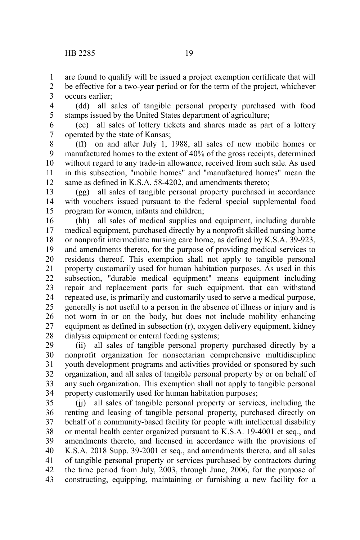are found to qualify will be issued a project exemption certificate that will 1

be effective for a two-year period or for the term of the project, whichever occurs earlier; 2 3

(dd) all sales of tangible personal property purchased with food stamps issued by the United States department of agriculture; 4 5

(ee) all sales of lottery tickets and shares made as part of a lottery operated by the state of Kansas; 6 7

(ff) on and after July 1, 1988, all sales of new mobile homes or manufactured homes to the extent of 40% of the gross receipts, determined without regard to any trade-in allowance, received from such sale. As used in this subsection, "mobile homes" and "manufactured homes" mean the same as defined in K.S.A. 58-4202, and amendments thereto; 8 9 10 11 12

(gg) all sales of tangible personal property purchased in accordance with vouchers issued pursuant to the federal special supplemental food program for women, infants and children; 13 14 15

(hh) all sales of medical supplies and equipment, including durable medical equipment, purchased directly by a nonprofit skilled nursing home or nonprofit intermediate nursing care home, as defined by K.S.A. 39-923, and amendments thereto, for the purpose of providing medical services to residents thereof. This exemption shall not apply to tangible personal property customarily used for human habitation purposes. As used in this subsection, "durable medical equipment" means equipment including repair and replacement parts for such equipment, that can withstand repeated use, is primarily and customarily used to serve a medical purpose, generally is not useful to a person in the absence of illness or injury and is not worn in or on the body, but does not include mobility enhancing equipment as defined in subsection (r), oxygen delivery equipment, kidney dialysis equipment or enteral feeding systems; 16 17 18 19 20 21 22 23 24 25 26 27 28

(ii) all sales of tangible personal property purchased directly by a nonprofit organization for nonsectarian comprehensive multidiscipline youth development programs and activities provided or sponsored by such organization, and all sales of tangible personal property by or on behalf of any such organization. This exemption shall not apply to tangible personal property customarily used for human habitation purposes; 29 30 31 32 33 34

(jj) all sales of tangible personal property or services, including the renting and leasing of tangible personal property, purchased directly on behalf of a community-based facility for people with intellectual disability or mental health center organized pursuant to K.S.A. 19-4001 et seq., and amendments thereto, and licensed in accordance with the provisions of K.S.A. 2018 Supp. 39-2001 et seq., and amendments thereto, and all sales of tangible personal property or services purchased by contractors during the time period from July, 2003, through June, 2006, for the purpose of constructing, equipping, maintaining or furnishing a new facility for a 35 36 37 38 39 40 41 42 43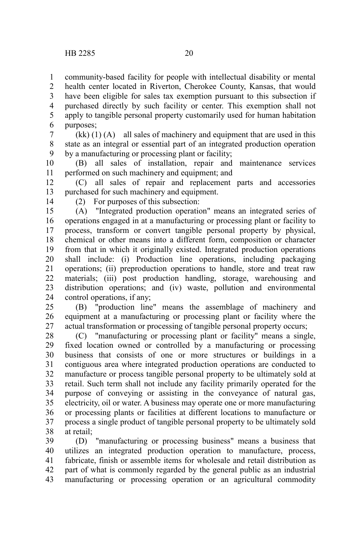community-based facility for people with intellectual disability or mental health center located in Riverton, Cherokee County, Kansas, that would have been eligible for sales tax exemption pursuant to this subsection if purchased directly by such facility or center. This exemption shall not apply to tangible personal property customarily used for human habitation purposes; 1 2 3 4 5 6

 $(kk)$  (1)  $(A)$  all sales of machinery and equipment that are used in this state as an integral or essential part of an integrated production operation by a manufacturing or processing plant or facility; 7 8 9

(B) all sales of installation, repair and maintenance services performed on such machinery and equipment; and 10 11

(C) all sales of repair and replacement parts and accessories purchased for such machinery and equipment. 12 13

14

(2) For purposes of this subsection:

(A) "Integrated production operation" means an integrated series of operations engaged in at a manufacturing or processing plant or facility to process, transform or convert tangible personal property by physical, chemical or other means into a different form, composition or character from that in which it originally existed. Integrated production operations shall include: (i) Production line operations, including packaging operations; (ii) preproduction operations to handle, store and treat raw materials; (iii) post production handling, storage, warehousing and distribution operations; and (iv) waste, pollution and environmental control operations, if any; 15 16 17 18 19 20 21 22 23 24

(B) "production line" means the assemblage of machinery and equipment at a manufacturing or processing plant or facility where the actual transformation or processing of tangible personal property occurs; 25 26 27

(C) "manufacturing or processing plant or facility" means a single, fixed location owned or controlled by a manufacturing or processing business that consists of one or more structures or buildings in a contiguous area where integrated production operations are conducted to manufacture or process tangible personal property to be ultimately sold at retail. Such term shall not include any facility primarily operated for the purpose of conveying or assisting in the conveyance of natural gas, electricity, oil or water. A business may operate one or more manufacturing or processing plants or facilities at different locations to manufacture or process a single product of tangible personal property to be ultimately sold at retail; 28 29 30 31 32 33 34 35 36 37 38

(D) "manufacturing or processing business" means a business that utilizes an integrated production operation to manufacture, process, fabricate, finish or assemble items for wholesale and retail distribution as part of what is commonly regarded by the general public as an industrial manufacturing or processing operation or an agricultural commodity 39 40 41 42 43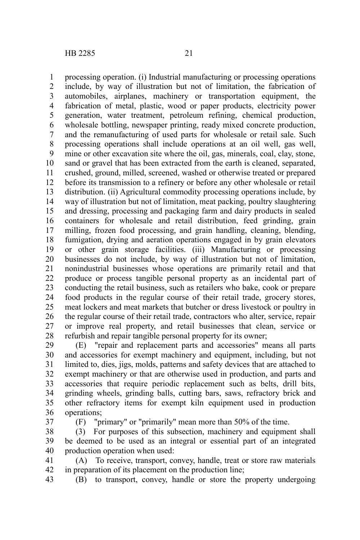processing operation. (i) Industrial manufacturing or processing operations include, by way of illustration but not of limitation, the fabrication of automobiles, airplanes, machinery or transportation equipment, the fabrication of metal, plastic, wood or paper products, electricity power generation, water treatment, petroleum refining, chemical production, wholesale bottling, newspaper printing, ready mixed concrete production, and the remanufacturing of used parts for wholesale or retail sale. Such processing operations shall include operations at an oil well, gas well, mine or other excavation site where the oil, gas, minerals, coal, clay, stone, sand or gravel that has been extracted from the earth is cleaned, separated, crushed, ground, milled, screened, washed or otherwise treated or prepared before its transmission to a refinery or before any other wholesale or retail distribution. (ii) Agricultural commodity processing operations include, by way of illustration but not of limitation, meat packing, poultry slaughtering and dressing, processing and packaging farm and dairy products in sealed containers for wholesale and retail distribution, feed grinding, grain milling, frozen food processing, and grain handling, cleaning, blending, fumigation, drying and aeration operations engaged in by grain elevators or other grain storage facilities. (iii) Manufacturing or processing businesses do not include, by way of illustration but not of limitation, nonindustrial businesses whose operations are primarily retail and that produce or process tangible personal property as an incidental part of conducting the retail business, such as retailers who bake, cook or prepare food products in the regular course of their retail trade, grocery stores, meat lockers and meat markets that butcher or dress livestock or poultry in the regular course of their retail trade, contractors who alter, service, repair or improve real property, and retail businesses that clean, service or refurbish and repair tangible personal property for its owner; 1 2 3 4 5 6 7 8 9 10 11 12 13 14 15 16 17 18 19 20 21 22 23 24 25 26 27 28

(E) "repair and replacement parts and accessories" means all parts and accessories for exempt machinery and equipment, including, but not limited to, dies, jigs, molds, patterns and safety devices that are attached to exempt machinery or that are otherwise used in production, and parts and accessories that require periodic replacement such as belts, drill bits, grinding wheels, grinding balls, cutting bars, saws, refractory brick and other refractory items for exempt kiln equipment used in production operations; 29 30 31 32 33 34 35 36

37

(F) "primary" or "primarily" mean more than 50% of the time.

(3) For purposes of this subsection, machinery and equipment shall be deemed to be used as an integral or essential part of an integrated production operation when used: 38 39 40

(A) To receive, transport, convey, handle, treat or store raw materials in preparation of its placement on the production line; 41 42

(B) to transport, convey, handle or store the property undergoing 43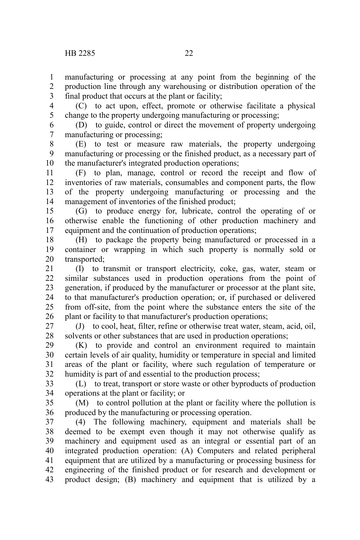manufacturing or processing at any point from the beginning of the production line through any warehousing or distribution operation of the final product that occurs at the plant or facility; 1 2 3

(C) to act upon, effect, promote or otherwise facilitate a physical change to the property undergoing manufacturing or processing; 4 5

(D) to guide, control or direct the movement of property undergoing manufacturing or processing; 6 7

(E) to test or measure raw materials, the property undergoing manufacturing or processing or the finished product, as a necessary part of the manufacturer's integrated production operations; 8 9 10

(F) to plan, manage, control or record the receipt and flow of inventories of raw materials, consumables and component parts, the flow of the property undergoing manufacturing or processing and the management of inventories of the finished product; 11 12 13 14

(G) to produce energy for, lubricate, control the operating of or otherwise enable the functioning of other production machinery and equipment and the continuation of production operations; 15 16 17

(H) to package the property being manufactured or processed in a container or wrapping in which such property is normally sold or transported; 18 19 20

(I) to transmit or transport electricity, coke, gas, water, steam or similar substances used in production operations from the point of generation, if produced by the manufacturer or processor at the plant site, to that manufacturer's production operation; or, if purchased or delivered from off-site, from the point where the substance enters the site of the plant or facility to that manufacturer's production operations; 21 22 23 24 25 26

(J) to cool, heat, filter, refine or otherwise treat water, steam, acid, oil, solvents or other substances that are used in production operations; 27 28

(K) to provide and control an environment required to maintain certain levels of air quality, humidity or temperature in special and limited areas of the plant or facility, where such regulation of temperature or humidity is part of and essential to the production process; 29 30 31 32

(L) to treat, transport or store waste or other byproducts of production operations at the plant or facility; or 33 34

(M) to control pollution at the plant or facility where the pollution is produced by the manufacturing or processing operation. 35 36

(4) The following machinery, equipment and materials shall be deemed to be exempt even though it may not otherwise qualify as machinery and equipment used as an integral or essential part of an integrated production operation: (A) Computers and related peripheral equipment that are utilized by a manufacturing or processing business for engineering of the finished product or for research and development or product design; (B) machinery and equipment that is utilized by a 37 38 39 40 41 42 43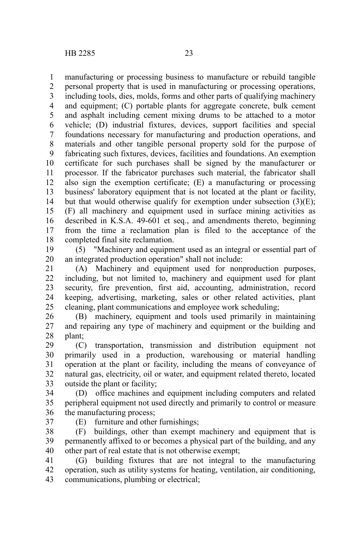manufacturing or processing business to manufacture or rebuild tangible 1

personal property that is used in manufacturing or processing operations, including tools, dies, molds, forms and other parts of qualifying machinery and equipment; (C) portable plants for aggregate concrete, bulk cement and asphalt including cement mixing drums to be attached to a motor vehicle; (D) industrial fixtures, devices, support facilities and special foundations necessary for manufacturing and production operations, and materials and other tangible personal property sold for the purpose of fabricating such fixtures, devices, facilities and foundations. An exemption certificate for such purchases shall be signed by the manufacturer or processor. If the fabricator purchases such material, the fabricator shall also sign the exemption certificate; (E) a manufacturing or processing business' laboratory equipment that is not located at the plant or facility, but that would otherwise qualify for exemption under subsection  $(3)(E)$ ; (F) all machinery and equipment used in surface mining activities as described in K.S.A. 49-601 et seq., and amendments thereto, beginning from the time a reclamation plan is filed to the acceptance of the completed final site reclamation. 2 3 4 5 6 7 8 9 10 11 12 13 14 15 16 17 18

(5) "Machinery and equipment used as an integral or essential part of an integrated production operation" shall not include: 19 20

(A) Machinery and equipment used for nonproduction purposes, including, but not limited to, machinery and equipment used for plant security, fire prevention, first aid, accounting, administration, record keeping, advertising, marketing, sales or other related activities, plant cleaning, plant communications and employee work scheduling; 21 22 23 24 25

(B) machinery, equipment and tools used primarily in maintaining and repairing any type of machinery and equipment or the building and plant; 26 27 28

(C) transportation, transmission and distribution equipment not primarily used in a production, warehousing or material handling operation at the plant or facility, including the means of conveyance of natural gas, electricity, oil or water, and equipment related thereto, located outside the plant or facility; 29 30 31 32 33

(D) office machines and equipment including computers and related peripheral equipment not used directly and primarily to control or measure the manufacturing process; 34 35 36

37

(E) furniture and other furnishings;

(F) buildings, other than exempt machinery and equipment that is permanently affixed to or becomes a physical part of the building, and any other part of real estate that is not otherwise exempt; 38 39 40

(G) building fixtures that are not integral to the manufacturing operation, such as utility systems for heating, ventilation, air conditioning, communications, plumbing or electrical; 41 42 43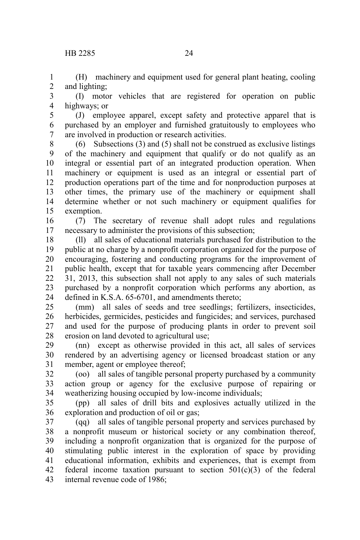(H) machinery and equipment used for general plant heating, cooling and lighting; 1 2

(I) motor vehicles that are registered for operation on public highways; or 3 4

(J) employee apparel, except safety and protective apparel that is purchased by an employer and furnished gratuitously to employees who are involved in production or research activities. 5 6 7

(6) Subsections (3) and (5) shall not be construed as exclusive listings of the machinery and equipment that qualify or do not qualify as an integral or essential part of an integrated production operation. When machinery or equipment is used as an integral or essential part of production operations part of the time and for nonproduction purposes at other times, the primary use of the machinery or equipment shall determine whether or not such machinery or equipment qualifies for exemption. 8 9 10 11 12 13 14 15

(7) The secretary of revenue shall adopt rules and regulations necessary to administer the provisions of this subsection; 16 17

(ll) all sales of educational materials purchased for distribution to the public at no charge by a nonprofit corporation organized for the purpose of encouraging, fostering and conducting programs for the improvement of public health, except that for taxable years commencing after December 31, 2013, this subsection shall not apply to any sales of such materials purchased by a nonprofit corporation which performs any abortion, as defined in K.S.A. 65-6701, and amendments thereto; 18 19 20 21 22 23 24

(mm) all sales of seeds and tree seedlings; fertilizers, insecticides, herbicides, germicides, pesticides and fungicides; and services, purchased and used for the purpose of producing plants in order to prevent soil erosion on land devoted to agricultural use; 25 26 27 28

(nn) except as otherwise provided in this act, all sales of services rendered by an advertising agency or licensed broadcast station or any member, agent or employee thereof; 29 30 31

(oo) all sales of tangible personal property purchased by a community action group or agency for the exclusive purpose of repairing or weatherizing housing occupied by low-income individuals; 32 33 34

(pp) all sales of drill bits and explosives actually utilized in the exploration and production of oil or gas; 35 36

(qq) all sales of tangible personal property and services purchased by a nonprofit museum or historical society or any combination thereof, including a nonprofit organization that is organized for the purpose of stimulating public interest in the exploration of space by providing educational information, exhibits and experiences, that is exempt from federal income taxation pursuant to section  $501(c)(3)$  of the federal internal revenue code of 1986; 37 38 39 40 41 42 43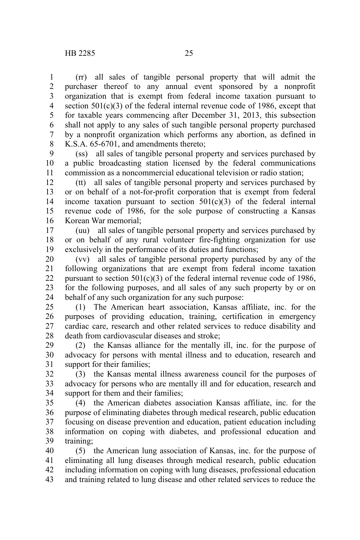(rr) all sales of tangible personal property that will admit the purchaser thereof to any annual event sponsored by a nonprofit organization that is exempt from federal income taxation pursuant to section  $501(c)(3)$  of the federal internal revenue code of 1986, except that for taxable years commencing after December 31, 2013, this subsection shall not apply to any sales of such tangible personal property purchased by a nonprofit organization which performs any abortion, as defined in K.S.A. 65-6701, and amendments thereto; 1 2 3 4 5 6 7 8

(ss) all sales of tangible personal property and services purchased by a public broadcasting station licensed by the federal communications commission as a noncommercial educational television or radio station; 9 10 11

(tt) all sales of tangible personal property and services purchased by or on behalf of a not-for-profit corporation that is exempt from federal income taxation pursuant to section  $501(c)(3)$  of the federal internal revenue code of 1986, for the sole purpose of constructing a Kansas Korean War memorial; 12 13 14 15 16

(uu) all sales of tangible personal property and services purchased by or on behalf of any rural volunteer fire-fighting organization for use exclusively in the performance of its duties and functions; 17 18 19

(vv) all sales of tangible personal property purchased by any of the following organizations that are exempt from federal income taxation pursuant to section  $501(c)(3)$  of the federal internal revenue code of 1986, for the following purposes, and all sales of any such property by or on behalf of any such organization for any such purpose: 20 21 22 23 24

(1) The American heart association, Kansas affiliate, inc. for the purposes of providing education, training, certification in emergency cardiac care, research and other related services to reduce disability and death from cardiovascular diseases and stroke; 25 26 27 28

(2) the Kansas alliance for the mentally ill, inc. for the purpose of advocacy for persons with mental illness and to education, research and support for their families; 29 30 31

(3) the Kansas mental illness awareness council for the purposes of advocacy for persons who are mentally ill and for education, research and support for them and their families; 32 33 34

(4) the American diabetes association Kansas affiliate, inc. for the purpose of eliminating diabetes through medical research, public education focusing on disease prevention and education, patient education including information on coping with diabetes, and professional education and training; 35 36 37 38 39

(5) the American lung association of Kansas, inc. for the purpose of eliminating all lung diseases through medical research, public education including information on coping with lung diseases, professional education and training related to lung disease and other related services to reduce the 40 41 42 43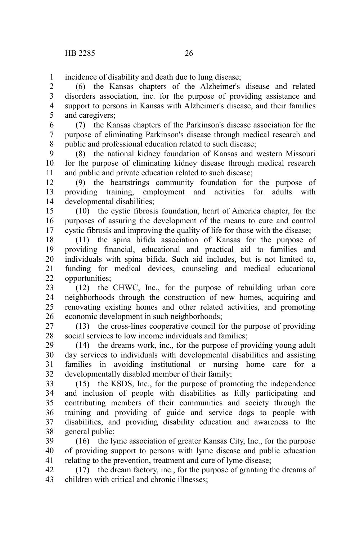incidence of disability and death due to lung disease; 1

(6) the Kansas chapters of the Alzheimer's disease and related disorders association, inc. for the purpose of providing assistance and support to persons in Kansas with Alzheimer's disease, and their families and caregivers; 2 3 4 5

(7) the Kansas chapters of the Parkinson's disease association for the purpose of eliminating Parkinson's disease through medical research and public and professional education related to such disease; 6 7 8

(8) the national kidney foundation of Kansas and western Missouri for the purpose of eliminating kidney disease through medical research and public and private education related to such disease; 9 10 11

(9) the heartstrings community foundation for the purpose of providing training, employment and activities for adults with developmental disabilities; 12 13 14

(10) the cystic fibrosis foundation, heart of America chapter, for the purposes of assuring the development of the means to cure and control cystic fibrosis and improving the quality of life for those with the disease; 15 16 17

(11) the spina bifida association of Kansas for the purpose of providing financial, educational and practical aid to families and individuals with spina bifida. Such aid includes, but is not limited to, funding for medical devices, counseling and medical educational opportunities; 18 19 20 21 22

(12) the CHWC, Inc., for the purpose of rebuilding urban core neighborhoods through the construction of new homes, acquiring and renovating existing homes and other related activities, and promoting economic development in such neighborhoods; 23 24 25 26

(13) the cross-lines cooperative council for the purpose of providing social services to low income individuals and families; 27 28

(14) the dreams work, inc., for the purpose of providing young adult day services to individuals with developmental disabilities and assisting families in avoiding institutional or nursing home care for a developmentally disabled member of their family; 29 30 31 32

(15) the KSDS, Inc., for the purpose of promoting the independence and inclusion of people with disabilities as fully participating and contributing members of their communities and society through the training and providing of guide and service dogs to people with disabilities, and providing disability education and awareness to the general public; 33 34 35 36 37 38

(16) the lyme association of greater Kansas City, Inc., for the purpose of providing support to persons with lyme disease and public education relating to the prevention, treatment and cure of lyme disease; 39 40 41

(17) the dream factory, inc., for the purpose of granting the dreams of children with critical and chronic illnesses; 42 43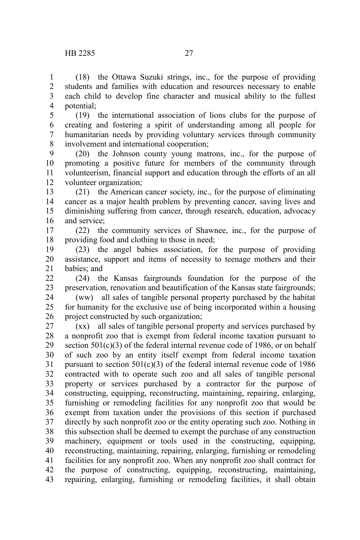(18) the Ottawa Suzuki strings, inc., for the purpose of providing students and families with education and resources necessary to enable each child to develop fine character and musical ability to the fullest potential; 1 2 3 4

(19) the international association of lions clubs for the purpose of creating and fostering a spirit of understanding among all people for humanitarian needs by providing voluntary services through community involvement and international cooperation; 5 6 7 8

(20) the Johnson county young matrons, inc., for the purpose of promoting a positive future for members of the community through volunteerism, financial support and education through the efforts of an all volunteer organization; 9 10 11 12

(21) the American cancer society, inc., for the purpose of eliminating cancer as a major health problem by preventing cancer, saving lives and diminishing suffering from cancer, through research, education, advocacy and service; 13 14 15 16

(22) the community services of Shawnee, inc., for the purpose of providing food and clothing to those in need; 17 18

(23) the angel babies association, for the purpose of providing assistance, support and items of necessity to teenage mothers and their babies; and 19 20 21

(24) the Kansas fairgrounds foundation for the purpose of the preservation, renovation and beautification of the Kansas state fairgrounds; 22 23

(ww) all sales of tangible personal property purchased by the habitat for humanity for the exclusive use of being incorporated within a housing project constructed by such organization; 24 25 26

(xx) all sales of tangible personal property and services purchased by a nonprofit zoo that is exempt from federal income taxation pursuant to section  $501(c)(3)$  of the federal internal revenue code of 1986, or on behalf of such zoo by an entity itself exempt from federal income taxation pursuant to section  $501(c)(3)$  of the federal internal revenue code of 1986 contracted with to operate such zoo and all sales of tangible personal property or services purchased by a contractor for the purpose of constructing, equipping, reconstructing, maintaining, repairing, enlarging, furnishing or remodeling facilities for any nonprofit zoo that would be exempt from taxation under the provisions of this section if purchased directly by such nonprofit zoo or the entity operating such zoo. Nothing in this subsection shall be deemed to exempt the purchase of any construction machinery, equipment or tools used in the constructing, equipping, reconstructing, maintaining, repairing, enlarging, furnishing or remodeling facilities for any nonprofit zoo. When any nonprofit zoo shall contract for the purpose of constructing, equipping, reconstructing, maintaining, repairing, enlarging, furnishing or remodeling facilities, it shall obtain 27 28 29 30 31 32 33 34 35 36 37 38 39 40 41 42 43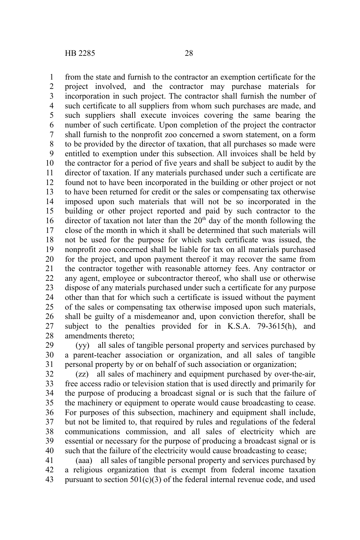from the state and furnish to the contractor an exemption certificate for the project involved, and the contractor may purchase materials for incorporation in such project. The contractor shall furnish the number of such certificate to all suppliers from whom such purchases are made, and such suppliers shall execute invoices covering the same bearing the number of such certificate. Upon completion of the project the contractor shall furnish to the nonprofit zoo concerned a sworn statement, on a form to be provided by the director of taxation, that all purchases so made were entitled to exemption under this subsection. All invoices shall be held by the contractor for a period of five years and shall be subject to audit by the director of taxation. If any materials purchased under such a certificate are found not to have been incorporated in the building or other project or not to have been returned for credit or the sales or compensating tax otherwise imposed upon such materials that will not be so incorporated in the building or other project reported and paid by such contractor to the director of taxation not later than the  $20<sup>th</sup>$  day of the month following the close of the month in which it shall be determined that such materials will not be used for the purpose for which such certificate was issued, the nonprofit zoo concerned shall be liable for tax on all materials purchased for the project, and upon payment thereof it may recover the same from the contractor together with reasonable attorney fees. Any contractor or any agent, employee or subcontractor thereof, who shall use or otherwise dispose of any materials purchased under such a certificate for any purpose other than that for which such a certificate is issued without the payment of the sales or compensating tax otherwise imposed upon such materials, shall be guilty of a misdemeanor and, upon conviction therefor, shall be subject to the penalties provided for in K.S.A. 79-3615(h), and amendments thereto; 1 2 3 4 5 6 7 8 9 10 11 12 13 14 15 16 17 18 19 20 21 22 23 24 25 26 27 28

(yy) all sales of tangible personal property and services purchased by a parent-teacher association or organization, and all sales of tangible personal property by or on behalf of such association or organization; 29 30 31

(zz) all sales of machinery and equipment purchased by over-the-air, free access radio or television station that is used directly and primarily for the purpose of producing a broadcast signal or is such that the failure of the machinery or equipment to operate would cause broadcasting to cease. For purposes of this subsection, machinery and equipment shall include, but not be limited to, that required by rules and regulations of the federal communications commission, and all sales of electricity which are essential or necessary for the purpose of producing a broadcast signal or is such that the failure of the electricity would cause broadcasting to cease; 32 33 34 35 36 37 38 39 40

(aaa) all sales of tangible personal property and services purchased by a religious organization that is exempt from federal income taxation pursuant to section  $501(c)(3)$  of the federal internal revenue code, and used 41 42 43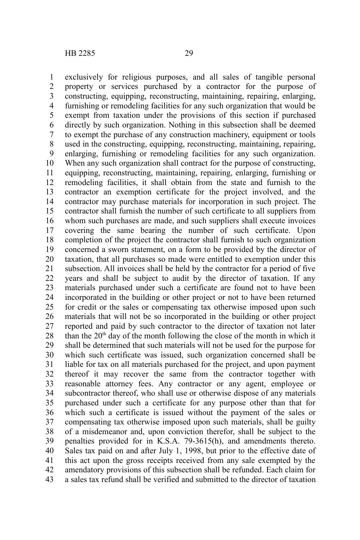exclusively for religious purposes, and all sales of tangible personal property or services purchased by a contractor for the purpose of constructing, equipping, reconstructing, maintaining, repairing, enlarging, furnishing or remodeling facilities for any such organization that would be exempt from taxation under the provisions of this section if purchased directly by such organization. Nothing in this subsection shall be deemed to exempt the purchase of any construction machinery, equipment or tools used in the constructing, equipping, reconstructing, maintaining, repairing, enlarging, furnishing or remodeling facilities for any such organization. When any such organization shall contract for the purpose of constructing, equipping, reconstructing, maintaining, repairing, enlarging, furnishing or remodeling facilities, it shall obtain from the state and furnish to the contractor an exemption certificate for the project involved, and the contractor may purchase materials for incorporation in such project. The contractor shall furnish the number of such certificate to all suppliers from whom such purchases are made, and such suppliers shall execute invoices covering the same bearing the number of such certificate. Upon completion of the project the contractor shall furnish to such organization concerned a sworn statement, on a form to be provided by the director of taxation, that all purchases so made were entitled to exemption under this subsection. All invoices shall be held by the contractor for a period of five years and shall be subject to audit by the director of taxation. If any materials purchased under such a certificate are found not to have been incorporated in the building or other project or not to have been returned for credit or the sales or compensating tax otherwise imposed upon such materials that will not be so incorporated in the building or other project reported and paid by such contractor to the director of taxation not later than the  $20<sup>th</sup>$  day of the month following the close of the month in which it shall be determined that such materials will not be used for the purpose for which such certificate was issued, such organization concerned shall be liable for tax on all materials purchased for the project, and upon payment thereof it may recover the same from the contractor together with reasonable attorney fees. Any contractor or any agent, employee or subcontractor thereof, who shall use or otherwise dispose of any materials purchased under such a certificate for any purpose other than that for which such a certificate is issued without the payment of the sales or compensating tax otherwise imposed upon such materials, shall be guilty of a misdemeanor and, upon conviction therefor, shall be subject to the penalties provided for in K.S.A. 79-3615(h), and amendments thereto. Sales tax paid on and after July 1, 1998, but prior to the effective date of this act upon the gross receipts received from any sale exempted by the amendatory provisions of this subsection shall be refunded. Each claim for a sales tax refund shall be verified and submitted to the director of taxation 1 2 3 4 5 6 7 8 9 10 11 12 13 14 15 16 17 18 19 20 21 22 23 24 25 26 27 28 29 30 31 32 33 34 35 36 37 38 39 40 41 42 43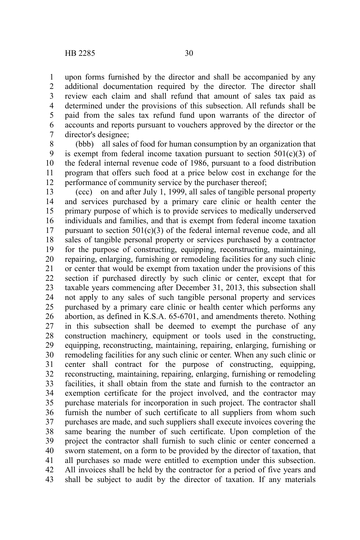upon forms furnished by the director and shall be accompanied by any additional documentation required by the director. The director shall review each claim and shall refund that amount of sales tax paid as determined under the provisions of this subsection. All refunds shall be paid from the sales tax refund fund upon warrants of the director of accounts and reports pursuant to vouchers approved by the director or the director's designee; 1 2 3 4 5 6 7

(bbb) all sales of food for human consumption by an organization that is exempt from federal income taxation pursuant to section  $501(c)(3)$  of the federal internal revenue code of 1986, pursuant to a food distribution program that offers such food at a price below cost in exchange for the performance of community service by the purchaser thereof; 8 9 10 11 12

(ccc) on and after July 1, 1999, all sales of tangible personal property and services purchased by a primary care clinic or health center the primary purpose of which is to provide services to medically underserved individuals and families, and that is exempt from federal income taxation pursuant to section  $501(c)(3)$  of the federal internal revenue code, and all sales of tangible personal property or services purchased by a contractor for the purpose of constructing, equipping, reconstructing, maintaining, repairing, enlarging, furnishing or remodeling facilities for any such clinic or center that would be exempt from taxation under the provisions of this section if purchased directly by such clinic or center, except that for taxable years commencing after December 31, 2013, this subsection shall not apply to any sales of such tangible personal property and services purchased by a primary care clinic or health center which performs any abortion, as defined in K.S.A. 65-6701, and amendments thereto. Nothing in this subsection shall be deemed to exempt the purchase of any construction machinery, equipment or tools used in the constructing, equipping, reconstructing, maintaining, repairing, enlarging, furnishing or remodeling facilities for any such clinic or center. When any such clinic or center shall contract for the purpose of constructing, equipping, reconstructing, maintaining, repairing, enlarging, furnishing or remodeling facilities, it shall obtain from the state and furnish to the contractor an exemption certificate for the project involved, and the contractor may purchase materials for incorporation in such project. The contractor shall furnish the number of such certificate to all suppliers from whom such purchases are made, and such suppliers shall execute invoices covering the same bearing the number of such certificate. Upon completion of the project the contractor shall furnish to such clinic or center concerned a sworn statement, on a form to be provided by the director of taxation, that all purchases so made were entitled to exemption under this subsection. All invoices shall be held by the contractor for a period of five years and shall be subject to audit by the director of taxation. If any materials 13 14 15 16 17 18 19 20 21 22 23 24 25 26 27 28 29 30 31 32 33 34 35 36 37 38 39 40 41 42 43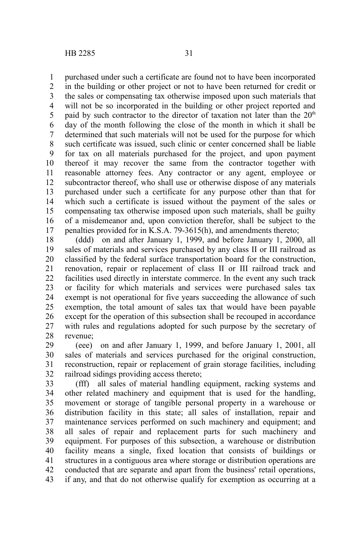purchased under such a certificate are found not to have been incorporated in the building or other project or not to have been returned for credit or the sales or compensating tax otherwise imposed upon such materials that will not be so incorporated in the building or other project reported and paid by such contractor to the director of taxation not later than the  $20<sup>th</sup>$ day of the month following the close of the month in which it shall be determined that such materials will not be used for the purpose for which such certificate was issued, such clinic or center concerned shall be liable for tax on all materials purchased for the project, and upon payment thereof it may recover the same from the contractor together with reasonable attorney fees. Any contractor or any agent, employee or subcontractor thereof, who shall use or otherwise dispose of any materials purchased under such a certificate for any purpose other than that for which such a certificate is issued without the payment of the sales or compensating tax otherwise imposed upon such materials, shall be guilty of a misdemeanor and, upon conviction therefor, shall be subject to the penalties provided for in K.S.A. 79-3615(h), and amendments thereto; 1 2 3 4 5 6 7 8 9 10 11 12 13 14 15 16 17

(ddd) on and after January 1, 1999, and before January 1, 2000, all sales of materials and services purchased by any class II or III railroad as classified by the federal surface transportation board for the construction, renovation, repair or replacement of class II or III railroad track and facilities used directly in interstate commerce. In the event any such track or facility for which materials and services were purchased sales tax exempt is not operational for five years succeeding the allowance of such exemption, the total amount of sales tax that would have been payable except for the operation of this subsection shall be recouped in accordance with rules and regulations adopted for such purpose by the secretary of revenue; 18 19 20 21 22 23 24 25 26 27 28

(eee) on and after January 1, 1999, and before January 1, 2001, all sales of materials and services purchased for the original construction, reconstruction, repair or replacement of grain storage facilities, including railroad sidings providing access thereto; 29 30 31 32

(fff) all sales of material handling equipment, racking systems and other related machinery and equipment that is used for the handling, movement or storage of tangible personal property in a warehouse or distribution facility in this state; all sales of installation, repair and maintenance services performed on such machinery and equipment; and all sales of repair and replacement parts for such machinery and equipment. For purposes of this subsection, a warehouse or distribution facility means a single, fixed location that consists of buildings or structures in a contiguous area where storage or distribution operations are conducted that are separate and apart from the business' retail operations, if any, and that do not otherwise qualify for exemption as occurring at a 33 34 35 36 37 38 39 40 41 42 43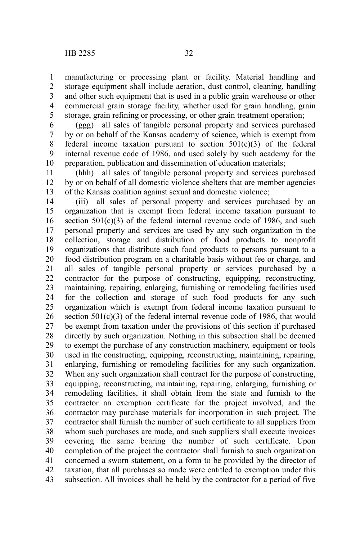manufacturing or processing plant or facility. Material handling and

storage equipment shall include aeration, dust control, cleaning, handling and other such equipment that is used in a public grain warehouse or other commercial grain storage facility, whether used for grain handling, grain storage, grain refining or processing, or other grain treatment operation; 1 2 3 4 5

(ggg) all sales of tangible personal property and services purchased by or on behalf of the Kansas academy of science, which is exempt from federal income taxation pursuant to section  $501(c)(3)$  of the federal internal revenue code of 1986, and used solely by such academy for the preparation, publication and dissemination of education materials; 6 7 8 9 10

(hhh) all sales of tangible personal property and services purchased by or on behalf of all domestic violence shelters that are member agencies of the Kansas coalition against sexual and domestic violence; 11 12 13

(iii) all sales of personal property and services purchased by an organization that is exempt from federal income taxation pursuant to section  $501(c)(3)$  of the federal internal revenue code of 1986, and such personal property and services are used by any such organization in the collection, storage and distribution of food products to nonprofit organizations that distribute such food products to persons pursuant to a food distribution program on a charitable basis without fee or charge, and all sales of tangible personal property or services purchased by a contractor for the purpose of constructing, equipping, reconstructing, maintaining, repairing, enlarging, furnishing or remodeling facilities used for the collection and storage of such food products for any such organization which is exempt from federal income taxation pursuant to section 501(c)(3) of the federal internal revenue code of 1986, that would be exempt from taxation under the provisions of this section if purchased directly by such organization. Nothing in this subsection shall be deemed to exempt the purchase of any construction machinery, equipment or tools used in the constructing, equipping, reconstructing, maintaining, repairing, enlarging, furnishing or remodeling facilities for any such organization. When any such organization shall contract for the purpose of constructing, equipping, reconstructing, maintaining, repairing, enlarging, furnishing or remodeling facilities, it shall obtain from the state and furnish to the contractor an exemption certificate for the project involved, and the contractor may purchase materials for incorporation in such project. The contractor shall furnish the number of such certificate to all suppliers from whom such purchases are made, and such suppliers shall execute invoices covering the same bearing the number of such certificate. Upon completion of the project the contractor shall furnish to such organization concerned a sworn statement, on a form to be provided by the director of taxation, that all purchases so made were entitled to exemption under this subsection. All invoices shall be held by the contractor for a period of five 14 15 16 17 18 19 20 21 22 23 24 25 26 27 28 29 30 31 32 33 34 35 36 37 38 39 40 41 42 43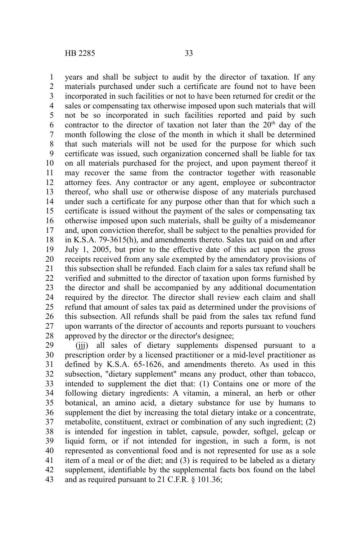years and shall be subject to audit by the director of taxation. If any materials purchased under such a certificate are found not to have been incorporated in such facilities or not to have been returned for credit or the sales or compensating tax otherwise imposed upon such materials that will not be so incorporated in such facilities reported and paid by such contractor to the director of taxation not later than the  $20<sup>th</sup>$  day of the month following the close of the month in which it shall be determined that such materials will not be used for the purpose for which such certificate was issued, such organization concerned shall be liable for tax on all materials purchased for the project, and upon payment thereof it may recover the same from the contractor together with reasonable attorney fees. Any contractor or any agent, employee or subcontractor thereof, who shall use or otherwise dispose of any materials purchased under such a certificate for any purpose other than that for which such a certificate is issued without the payment of the sales or compensating tax otherwise imposed upon such materials, shall be guilty of a misdemeanor and, upon conviction therefor, shall be subject to the penalties provided for in K.S.A. 79-3615(h), and amendments thereto. Sales tax paid on and after July 1, 2005, but prior to the effective date of this act upon the gross receipts received from any sale exempted by the amendatory provisions of this subsection shall be refunded. Each claim for a sales tax refund shall be verified and submitted to the director of taxation upon forms furnished by the director and shall be accompanied by any additional documentation required by the director. The director shall review each claim and shall refund that amount of sales tax paid as determined under the provisions of this subsection. All refunds shall be paid from the sales tax refund fund upon warrants of the director of accounts and reports pursuant to vouchers approved by the director or the director's designee; 1 2 3 4 5 6 7 8 9 10 11 12 13 14 15 16 17 18 19 20 21 22 23 24 25 26 27 28

(jjj) all sales of dietary supplements dispensed pursuant to a prescription order by a licensed practitioner or a mid-level practitioner as defined by K.S.A. 65-1626, and amendments thereto. As used in this subsection, "dietary supplement" means any product, other than tobacco, intended to supplement the diet that: (1) Contains one or more of the following dietary ingredients: A vitamin, a mineral, an herb or other botanical, an amino acid, a dietary substance for use by humans to supplement the diet by increasing the total dietary intake or a concentrate, metabolite, constituent, extract or combination of any such ingredient; (2) is intended for ingestion in tablet, capsule, powder, softgel, gelcap or liquid form, or if not intended for ingestion, in such a form, is not represented as conventional food and is not represented for use as a sole item of a meal or of the diet; and (3) is required to be labeled as a dietary supplement, identifiable by the supplemental facts box found on the label and as required pursuant to 21 C.F.R. § 101.36; 29 30 31 32 33 34 35 36 37 38 39 40 41 42 43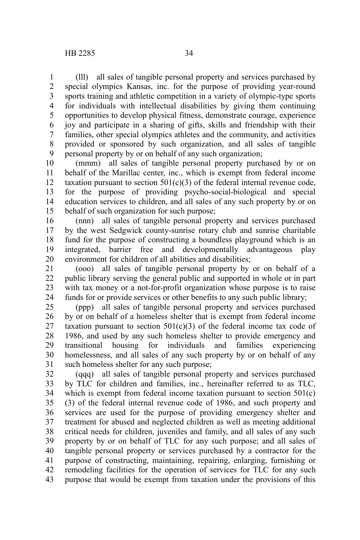(lll) all sales of tangible personal property and services purchased by special olympics Kansas, inc. for the purpose of providing year-round sports training and athletic competition in a variety of olympic-type sports for individuals with intellectual disabilities by giving them continuing opportunities to develop physical fitness, demonstrate courage, experience joy and participate in a sharing of gifts, skills and friendship with their families, other special olympics athletes and the community, and activities provided or sponsored by such organization, and all sales of tangible personal property by or on behalf of any such organization; 1 2 3 4 5 6 7 8 9

(mmm) all sales of tangible personal property purchased by or on behalf of the Marillac center, inc., which is exempt from federal income taxation pursuant to section  $501(c)(3)$  of the federal internal revenue code, for the purpose of providing psycho-social-biological and special education services to children, and all sales of any such property by or on behalf of such organization for such purpose; 10 11 12 13 14 15

(nnn) all sales of tangible personal property and services purchased by the west Sedgwick county-sunrise rotary club and sunrise charitable fund for the purpose of constructing a boundless playground which is an integrated, barrier free and developmentally advantageous play environment for children of all abilities and disabilities; 16 17 18 19 20

(ooo) all sales of tangible personal property by or on behalf of a public library serving the general public and supported in whole or in part with tax money or a not-for-profit organization whose purpose is to raise funds for or provide services or other benefits to any such public library; 21 22 23 24

(ppp) all sales of tangible personal property and services purchased by or on behalf of a homeless shelter that is exempt from federal income taxation pursuant to section  $501(c)(3)$  of the federal income tax code of 1986, and used by any such homeless shelter to provide emergency and transitional housing for individuals and families experiencing homelessness, and all sales of any such property by or on behalf of any such homeless shelter for any such purpose; 25 26 27 28 29 30 31

(qqq) all sales of tangible personal property and services purchased by TLC for children and families, inc., hereinafter referred to as TLC, which is exempt from federal income taxation pursuant to section 501(c) (3) of the federal internal revenue code of 1986, and such property and services are used for the purpose of providing emergency shelter and treatment for abused and neglected children as well as meeting additional critical needs for children, juveniles and family, and all sales of any such property by or on behalf of TLC for any such purpose; and all sales of tangible personal property or services purchased by a contractor for the purpose of constructing, maintaining, repairing, enlarging, furnishing or remodeling facilities for the operation of services for TLC for any such purpose that would be exempt from taxation under the provisions of this 32 33 34 35 36 37 38 39 40 41 42 43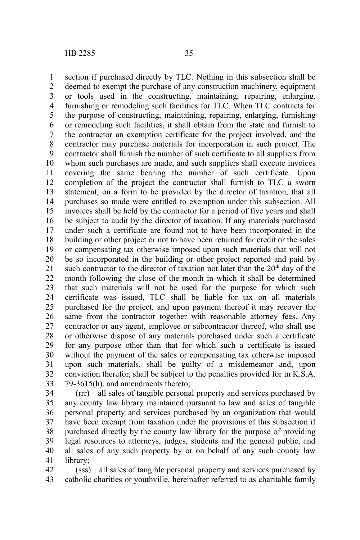section if purchased directly by TLC. Nothing in this subsection shall be deemed to exempt the purchase of any construction machinery, equipment or tools used in the constructing, maintaining, repairing, enlarging, furnishing or remodeling such facilities for TLC. When TLC contracts for the purpose of constructing, maintaining, repairing, enlarging, furnishing or remodeling such facilities, it shall obtain from the state and furnish to the contractor an exemption certificate for the project involved, and the contractor may purchase materials for incorporation in such project. The contractor shall furnish the number of such certificate to all suppliers from whom such purchases are made, and such suppliers shall execute invoices covering the same bearing the number of such certificate. Upon completion of the project the contractor shall furnish to TLC a sworn statement, on a form to be provided by the director of taxation, that all purchases so made were entitled to exemption under this subsection. All invoices shall be held by the contractor for a period of five years and shall be subject to audit by the director of taxation. If any materials purchased under such a certificate are found not to have been incorporated in the building or other project or not to have been returned for credit or the sales or compensating tax otherwise imposed upon such materials that will not be so incorporated in the building or other project reported and paid by such contractor to the director of taxation not later than the  $20<sup>th</sup>$  day of the month following the close of the month in which it shall be determined that such materials will not be used for the purpose for which such certificate was issued, TLC shall be liable for tax on all materials purchased for the project, and upon payment thereof it may recover the same from the contractor together with reasonable attorney fees. Any contractor or any agent, employee or subcontractor thereof, who shall use or otherwise dispose of any materials purchased under such a certificate for any purpose other than that for which such a certificate is issued without the payment of the sales or compensating tax otherwise imposed upon such materials, shall be guilty of a misdemeanor and, upon conviction therefor, shall be subject to the penalties provided for in K.S.A. 79-3615(h), and amendments thereto; 1 2 3 4 5 6 7 8 9 10 11 12 13 14 15 16 17 18 19 20 21 22 23 24 25 26 27 28 29 30 31 32 33

(rrr) all sales of tangible personal property and services purchased by any county law library maintained pursuant to law and sales of tangible personal property and services purchased by an organization that would have been exempt from taxation under the provisions of this subsection if purchased directly by the county law library for the purpose of providing legal resources to attorneys, judges, students and the general public, and all sales of any such property by or on behalf of any such county law library; 34 35 36 37 38 39 40 41

(sss) all sales of tangible personal property and services purchased by catholic charities or youthville, hereinafter referred to as charitable family 42 43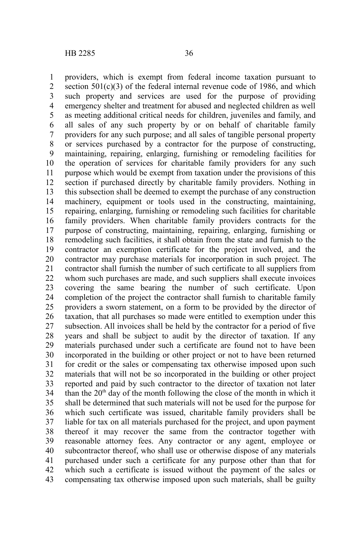providers, which is exempt from federal income taxation pursuant to section  $501(c)(3)$  of the federal internal revenue code of 1986, and which such property and services are used for the purpose of providing emergency shelter and treatment for abused and neglected children as well as meeting additional critical needs for children, juveniles and family, and all sales of any such property by or on behalf of charitable family providers for any such purpose; and all sales of tangible personal property or services purchased by a contractor for the purpose of constructing, maintaining, repairing, enlarging, furnishing or remodeling facilities for the operation of services for charitable family providers for any such purpose which would be exempt from taxation under the provisions of this section if purchased directly by charitable family providers. Nothing in this subsection shall be deemed to exempt the purchase of any construction machinery, equipment or tools used in the constructing, maintaining, repairing, enlarging, furnishing or remodeling such facilities for charitable family providers. When charitable family providers contracts for the purpose of constructing, maintaining, repairing, enlarging, furnishing or remodeling such facilities, it shall obtain from the state and furnish to the contractor an exemption certificate for the project involved, and the contractor may purchase materials for incorporation in such project. The contractor shall furnish the number of such certificate to all suppliers from whom such purchases are made, and such suppliers shall execute invoices covering the same bearing the number of such certificate. Upon completion of the project the contractor shall furnish to charitable family providers a sworn statement, on a form to be provided by the director of taxation, that all purchases so made were entitled to exemption under this subsection. All invoices shall be held by the contractor for a period of five years and shall be subject to audit by the director of taxation. If any materials purchased under such a certificate are found not to have been incorporated in the building or other project or not to have been returned for credit or the sales or compensating tax otherwise imposed upon such materials that will not be so incorporated in the building or other project reported and paid by such contractor to the director of taxation not later than the  $20<sup>th</sup>$  day of the month following the close of the month in which it shall be determined that such materials will not be used for the purpose for which such certificate was issued, charitable family providers shall be liable for tax on all materials purchased for the project, and upon payment thereof it may recover the same from the contractor together with reasonable attorney fees. Any contractor or any agent, employee or subcontractor thereof, who shall use or otherwise dispose of any materials purchased under such a certificate for any purpose other than that for which such a certificate is issued without the payment of the sales or compensating tax otherwise imposed upon such materials, shall be guilty 1 2 3 4 5 6 7 8 9 10 11 12 13 14 15 16 17 18 19 20 21 22 23 24 25 26 27 28 29 30 31 32 33 34 35 36 37 38 39 40 41 42 43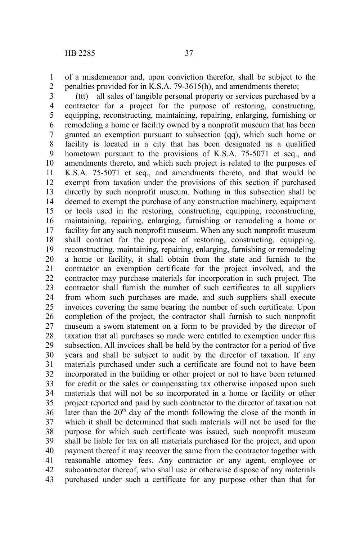of a misdemeanor and, upon conviction therefor, shall be subject to the penalties provided for in K.S.A. 79-3615(h), and amendments thereto; 1 2

(ttt) all sales of tangible personal property or services purchased by a contractor for a project for the purpose of restoring, constructing, equipping, reconstructing, maintaining, repairing, enlarging, furnishing or remodeling a home or facility owned by a nonprofit museum that has been granted an exemption pursuant to subsection (qq), which such home or facility is located in a city that has been designated as a qualified hometown pursuant to the provisions of K.S.A. 75-5071 et seq., and amendments thereto, and which such project is related to the purposes of K.S.A. 75-5071 et seq., and amendments thereto, and that would be exempt from taxation under the provisions of this section if purchased directly by such nonprofit museum. Nothing in this subsection shall be deemed to exempt the purchase of any construction machinery, equipment or tools used in the restoring, constructing, equipping, reconstructing, maintaining, repairing, enlarging, furnishing or remodeling a home or facility for any such nonprofit museum. When any such nonprofit museum shall contract for the purpose of restoring, constructing, equipping, reconstructing, maintaining, repairing, enlarging, furnishing or remodeling a home or facility, it shall obtain from the state and furnish to the contractor an exemption certificate for the project involved, and the contractor may purchase materials for incorporation in such project. The contractor shall furnish the number of such certificates to all suppliers from whom such purchases are made, and such suppliers shall execute invoices covering the same bearing the number of such certificate. Upon completion of the project, the contractor shall furnish to such nonprofit museum a sworn statement on a form to be provided by the director of taxation that all purchases so made were entitled to exemption under this subsection. All invoices shall be held by the contractor for a period of five years and shall be subject to audit by the director of taxation. If any materials purchased under such a certificate are found not to have been incorporated in the building or other project or not to have been returned for credit or the sales or compensating tax otherwise imposed upon such materials that will not be so incorporated in a home or facility or other project reported and paid by such contractor to the director of taxation not later than the  $20<sup>th</sup>$  day of the month following the close of the month in which it shall be determined that such materials will not be used for the purpose for which such certificate was issued, such nonprofit museum shall be liable for tax on all materials purchased for the project, and upon payment thereof it may recover the same from the contractor together with reasonable attorney fees. Any contractor or any agent, employee or subcontractor thereof, who shall use or otherwise dispose of any materials purchased under such a certificate for any purpose other than that for 3 4 5 6 7 8 9 10 11 12 13 14 15 16 17 18 19 20 21 22 23 24 25 26 27 28 29 30 31 32 33 34 35 36 37 38 39 40 41 42 43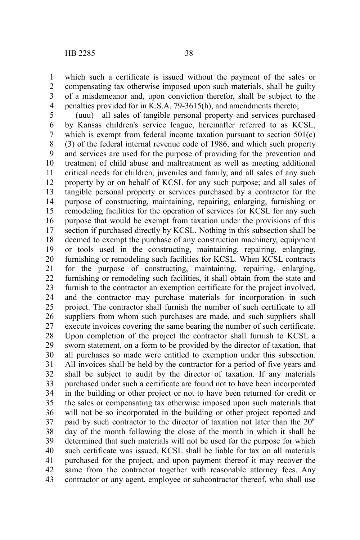which such a certificate is issued without the payment of the sales or compensating tax otherwise imposed upon such materials, shall be guilty of a misdemeanor and, upon conviction therefor, shall be subject to the penalties provided for in K.S.A. 79-3615(h), and amendments thereto; 1 2 3 4

(uuu) all sales of tangible personal property and services purchased by Kansas children's service league, hereinafter referred to as KCSL, which is exempt from federal income taxation pursuant to section 501(c) (3) of the federal internal revenue code of 1986, and which such property and services are used for the purpose of providing for the prevention and treatment of child abuse and maltreatment as well as meeting additional critical needs for children, juveniles and family, and all sales of any such property by or on behalf of KCSL for any such purpose; and all sales of tangible personal property or services purchased by a contractor for the purpose of constructing, maintaining, repairing, enlarging, furnishing or remodeling facilities for the operation of services for KCSL for any such purpose that would be exempt from taxation under the provisions of this section if purchased directly by KCSL. Nothing in this subsection shall be deemed to exempt the purchase of any construction machinery, equipment or tools used in the constructing, maintaining, repairing, enlarging, furnishing or remodeling such facilities for KCSL. When KCSL contracts for the purpose of constructing, maintaining, repairing, enlarging, furnishing or remodeling such facilities, it shall obtain from the state and furnish to the contractor an exemption certificate for the project involved, and the contractor may purchase materials for incorporation in such project. The contractor shall furnish the number of such certificate to all suppliers from whom such purchases are made, and such suppliers shall execute invoices covering the same bearing the number of such certificate. Upon completion of the project the contractor shall furnish to KCSL a sworn statement, on a form to be provided by the director of taxation, that all purchases so made were entitled to exemption under this subsection. All invoices shall be held by the contractor for a period of five years and shall be subject to audit by the director of taxation. If any materials purchased under such a certificate are found not to have been incorporated in the building or other project or not to have been returned for credit or the sales or compensating tax otherwise imposed upon such materials that will not be so incorporated in the building or other project reported and paid by such contractor to the director of taxation not later than the  $20<sup>th</sup>$ day of the month following the close of the month in which it shall be determined that such materials will not be used for the purpose for which such certificate was issued, KCSL shall be liable for tax on all materials purchased for the project, and upon payment thereof it may recover the same from the contractor together with reasonable attorney fees. Any contractor or any agent, employee or subcontractor thereof, who shall use 5 6 7 8 9 10 11 12 13 14 15 16 17 18 19 20 21 22 23 24 25 26 27 28 29 30 31 32 33 34 35 36 37 38 39 40 41 42 43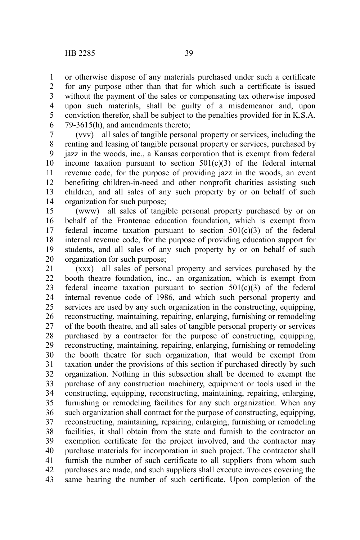79-3615(h), and amendments thereto;

or otherwise dispose of any materials purchased under such a certificate for any purpose other than that for which such a certificate is issued without the payment of the sales or compensating tax otherwise imposed upon such materials, shall be guilty of a misdemeanor and, upon conviction therefor, shall be subject to the penalties provided for in K.S.A.

(vvv) all sales of tangible personal property or services, including the renting and leasing of tangible personal property or services, purchased by jazz in the woods, inc., a Kansas corporation that is exempt from federal income taxation pursuant to section  $501(c)(3)$  of the federal internal revenue code, for the purpose of providing jazz in the woods, an event benefiting children-in-need and other nonprofit charities assisting such children, and all sales of any such property by or on behalf of such organization for such purpose; 7 8 9 10 11 12 13 14

(www) all sales of tangible personal property purchased by or on behalf of the Frontenac education foundation, which is exempt from federal income taxation pursuant to section  $501(c)(3)$  of the federal internal revenue code, for the purpose of providing education support for students, and all sales of any such property by or on behalf of such organization for such purpose; 15 16 17 18 19 20

(xxx) all sales of personal property and services purchased by the booth theatre foundation, inc., an organization, which is exempt from federal income taxation pursuant to section  $501(c)(3)$  of the federal internal revenue code of 1986, and which such personal property and services are used by any such organization in the constructing, equipping, reconstructing, maintaining, repairing, enlarging, furnishing or remodeling of the booth theatre, and all sales of tangible personal property or services purchased by a contractor for the purpose of constructing, equipping, reconstructing, maintaining, repairing, enlarging, furnishing or remodeling the booth theatre for such organization, that would be exempt from taxation under the provisions of this section if purchased directly by such organization. Nothing in this subsection shall be deemed to exempt the purchase of any construction machinery, equipment or tools used in the constructing, equipping, reconstructing, maintaining, repairing, enlarging, furnishing or remodeling facilities for any such organization. When any such organization shall contract for the purpose of constructing, equipping, reconstructing, maintaining, repairing, enlarging, furnishing or remodeling facilities, it shall obtain from the state and furnish to the contractor an exemption certificate for the project involved, and the contractor may purchase materials for incorporation in such project. The contractor shall furnish the number of such certificate to all suppliers from whom such purchases are made, and such suppliers shall execute invoices covering the same bearing the number of such certificate. Upon completion of the 21 22 23 24 25 26 27 28 29 30 31 32 33 34 35 36 37 38 39 40 41 42 43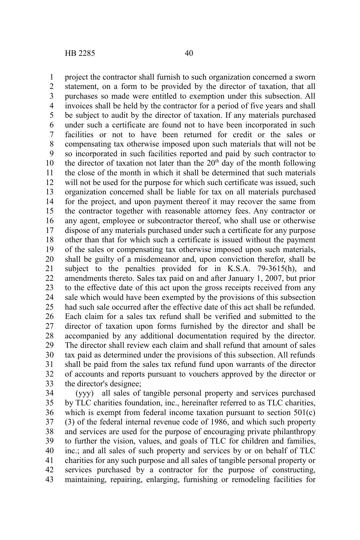project the contractor shall furnish to such organization concerned a sworn statement, on a form to be provided by the director of taxation, that all purchases so made were entitled to exemption under this subsection. All invoices shall be held by the contractor for a period of five years and shall be subject to audit by the director of taxation. If any materials purchased under such a certificate are found not to have been incorporated in such facilities or not to have been returned for credit or the sales or compensating tax otherwise imposed upon such materials that will not be so incorporated in such facilities reported and paid by such contractor to the director of taxation not later than the  $20<sup>th</sup>$  day of the month following the close of the month in which it shall be determined that such materials will not be used for the purpose for which such certificate was issued, such organization concerned shall be liable for tax on all materials purchased for the project, and upon payment thereof it may recover the same from the contractor together with reasonable attorney fees. Any contractor or any agent, employee or subcontractor thereof, who shall use or otherwise dispose of any materials purchased under such a certificate for any purpose other than that for which such a certificate is issued without the payment of the sales or compensating tax otherwise imposed upon such materials, shall be guilty of a misdemeanor and, upon conviction therefor, shall be subject to the penalties provided for in K.S.A. 79-3615(h), and amendments thereto. Sales tax paid on and after January 1, 2007, but prior to the effective date of this act upon the gross receipts received from any sale which would have been exempted by the provisions of this subsection had such sale occurred after the effective date of this act shall be refunded. Each claim for a sales tax refund shall be verified and submitted to the director of taxation upon forms furnished by the director and shall be accompanied by any additional documentation required by the director. The director shall review each claim and shall refund that amount of sales tax paid as determined under the provisions of this subsection. All refunds shall be paid from the sales tax refund fund upon warrants of the director of accounts and reports pursuant to vouchers approved by the director or the director's designee; 1 2 3 4 5 6 7 8 9 10 11 12 13 14 15 16 17 18 19 20 21 22 23 24 25 26 27 28 29 30 31 32 33

(yyy) all sales of tangible personal property and services purchased by TLC charities foundation, inc., hereinafter referred to as TLC charities, which is exempt from federal income taxation pursuant to section 501(c) (3) of the federal internal revenue code of 1986, and which such property and services are used for the purpose of encouraging private philanthropy to further the vision, values, and goals of TLC for children and families, inc.; and all sales of such property and services by or on behalf of TLC charities for any such purpose and all sales of tangible personal property or services purchased by a contractor for the purpose of constructing, maintaining, repairing, enlarging, furnishing or remodeling facilities for 34 35 36 37 38 39 40 41 42 43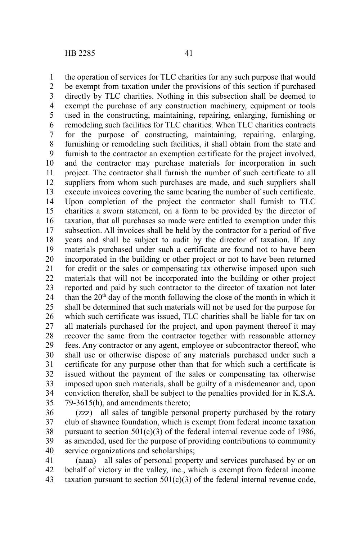the operation of services for TLC charities for any such purpose that would be exempt from taxation under the provisions of this section if purchased directly by TLC charities. Nothing in this subsection shall be deemed to exempt the purchase of any construction machinery, equipment or tools used in the constructing, maintaining, repairing, enlarging, furnishing or remodeling such facilities for TLC charities. When TLC charities contracts for the purpose of constructing, maintaining, repairing, enlarging, furnishing or remodeling such facilities, it shall obtain from the state and furnish to the contractor an exemption certificate for the project involved, and the contractor may purchase materials for incorporation in such project. The contractor shall furnish the number of such certificate to all suppliers from whom such purchases are made, and such suppliers shall execute invoices covering the same bearing the number of such certificate. Upon completion of the project the contractor shall furnish to TLC charities a sworn statement, on a form to be provided by the director of taxation, that all purchases so made were entitled to exemption under this subsection. All invoices shall be held by the contractor for a period of five years and shall be subject to audit by the director of taxation. If any materials purchased under such a certificate are found not to have been incorporated in the building or other project or not to have been returned for credit or the sales or compensating tax otherwise imposed upon such materials that will not be incorporated into the building or other project reported and paid by such contractor to the director of taxation not later than the  $20<sup>th</sup>$  day of the month following the close of the month in which it shall be determined that such materials will not be used for the purpose for which such certificate was issued. TLC charities shall be liable for tax on all materials purchased for the project, and upon payment thereof it may recover the same from the contractor together with reasonable attorney fees. Any contractor or any agent, employee or subcontractor thereof, who shall use or otherwise dispose of any materials purchased under such a certificate for any purpose other than that for which such a certificate is issued without the payment of the sales or compensating tax otherwise imposed upon such materials, shall be guilty of a misdemeanor and, upon conviction therefor, shall be subject to the penalties provided for in K.S.A. 79-3615(h), and amendments thereto; 1 2 3 4 5 6 7 8 9 10 11 12 13 14 15 16 17 18 19 20 21 22 23 24 25 26 27 28 29 30 31 32 33 34 35

(zzz) all sales of tangible personal property purchased by the rotary club of shawnee foundation, which is exempt from federal income taxation pursuant to section  $501(c)(3)$  of the federal internal revenue code of 1986, as amended, used for the purpose of providing contributions to community service organizations and scholarships; 36 37 38 39 40

(aaaa) all sales of personal property and services purchased by or on behalf of victory in the valley, inc., which is exempt from federal income taxation pursuant to section  $501(c)(3)$  of the federal internal revenue code, 41 42 43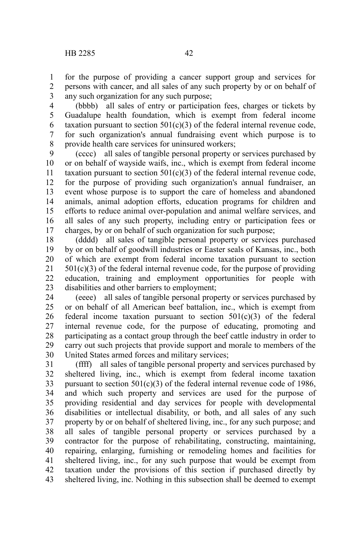for the purpose of providing a cancer support group and services for persons with cancer, and all sales of any such property by or on behalf of any such organization for any such purpose; 1 2 3

(bbbb) all sales of entry or participation fees, charges or tickets by Guadalupe health foundation, which is exempt from federal income taxation pursuant to section  $501(c)(3)$  of the federal internal revenue code, for such organization's annual fundraising event which purpose is to provide health care services for uninsured workers; 4 5 6 7 8

(cccc) all sales of tangible personal property or services purchased by or on behalf of wayside waifs, inc., which is exempt from federal income taxation pursuant to section  $501(c)(3)$  of the federal internal revenue code, for the purpose of providing such organization's annual fundraiser, an event whose purpose is to support the care of homeless and abandoned animals, animal adoption efforts, education programs for children and efforts to reduce animal over-population and animal welfare services, and all sales of any such property, including entry or participation fees or charges, by or on behalf of such organization for such purpose; 9 10 11 12 13 14 15 16 17

(dddd) all sales of tangible personal property or services purchased by or on behalf of goodwill industries or Easter seals of Kansas, inc., both of which are exempt from federal income taxation pursuant to section  $501(c)(3)$  of the federal internal revenue code, for the purpose of providing education, training and employment opportunities for people with disabilities and other barriers to employment; 18 19 20 21 22 23

(eeee) all sales of tangible personal property or services purchased by or on behalf of all American beef battalion, inc., which is exempt from federal income taxation pursuant to section 501(c)(3) of the federal internal revenue code, for the purpose of educating, promoting and participating as a contact group through the beef cattle industry in order to carry out such projects that provide support and morale to members of the United States armed forces and military services; 24 25 26 27 28 29 30

(ffff) all sales of tangible personal property and services purchased by sheltered living, inc., which is exempt from federal income taxation pursuant to section  $501(c)(3)$  of the federal internal revenue code of 1986, and which such property and services are used for the purpose of providing residential and day services for people with developmental disabilities or intellectual disability, or both, and all sales of any such property by or on behalf of sheltered living, inc., for any such purpose; and all sales of tangible personal property or services purchased by a contractor for the purpose of rehabilitating, constructing, maintaining, repairing, enlarging, furnishing or remodeling homes and facilities for sheltered living, inc., for any such purpose that would be exempt from taxation under the provisions of this section if purchased directly by sheltered living, inc. Nothing in this subsection shall be deemed to exempt 31 32 33 34 35 36 37 38 39 40 41 42 43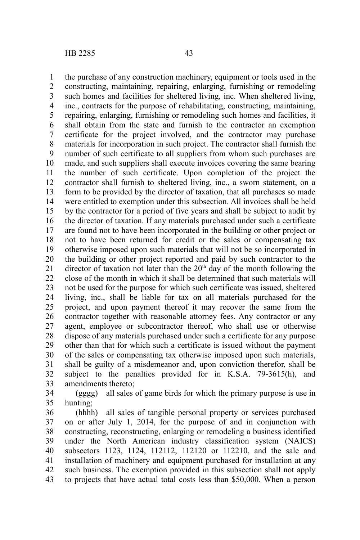the purchase of any construction machinery, equipment or tools used in the constructing, maintaining, repairing, enlarging, furnishing or remodeling such homes and facilities for sheltered living, inc. When sheltered living, inc., contracts for the purpose of rehabilitating, constructing, maintaining, repairing, enlarging, furnishing or remodeling such homes and facilities, it shall obtain from the state and furnish to the contractor an exemption certificate for the project involved, and the contractor may purchase materials for incorporation in such project. The contractor shall furnish the number of such certificate to all suppliers from whom such purchases are made, and such suppliers shall execute invoices covering the same bearing the number of such certificate. Upon completion of the project the contractor shall furnish to sheltered living, inc., a sworn statement, on a form to be provided by the director of taxation, that all purchases so made were entitled to exemption under this subsection. All invoices shall be held by the contractor for a period of five years and shall be subject to audit by the director of taxation. If any materials purchased under such a certificate are found not to have been incorporated in the building or other project or not to have been returned for credit or the sales or compensating tax otherwise imposed upon such materials that will not be so incorporated in the building or other project reported and paid by such contractor to the director of taxation not later than the  $20<sup>th</sup>$  day of the month following the close of the month in which it shall be determined that such materials will not be used for the purpose for which such certificate was issued, sheltered living, inc., shall be liable for tax on all materials purchased for the project, and upon payment thereof it may recover the same from the contractor together with reasonable attorney fees. Any contractor or any agent, employee or subcontractor thereof, who shall use or otherwise dispose of any materials purchased under such a certificate for any purpose other than that for which such a certificate is issued without the payment of the sales or compensating tax otherwise imposed upon such materials, shall be guilty of a misdemeanor and, upon conviction therefor, shall be subject to the penalties provided for in K.S.A. 79-3615(h), and amendments thereto; 1 2 3 4 5 6 7 8 9 10 11 12 13 14 15 16 17 18 19 20 21 22 23 24 25 26 27 28 29 30 31 32 33

(gggg) all sales of game birds for which the primary purpose is use in hunting; 34 35

(hhhh) all sales of tangible personal property or services purchased on or after July 1, 2014, for the purpose of and in conjunction with constructing, reconstructing, enlarging or remodeling a business identified under the North American industry classification system (NAICS) subsectors 1123, 1124, 112112, 112120 or 112210, and the sale and installation of machinery and equipment purchased for installation at any such business. The exemption provided in this subsection shall not apply to projects that have actual total costs less than \$50,000. When a person 36 37 38 39 40 41 42 43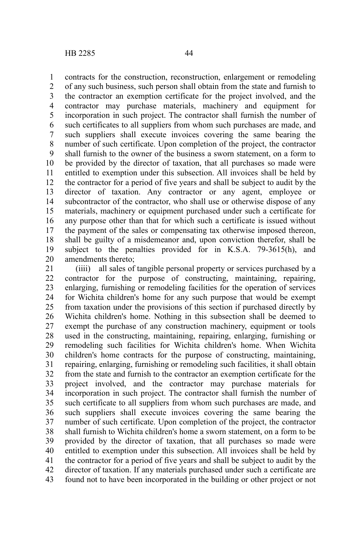contracts for the construction, reconstruction, enlargement or remodeling of any such business, such person shall obtain from the state and furnish to the contractor an exemption certificate for the project involved, and the contractor may purchase materials, machinery and equipment for incorporation in such project. The contractor shall furnish the number of such certificates to all suppliers from whom such purchases are made, and such suppliers shall execute invoices covering the same bearing the number of such certificate. Upon completion of the project, the contractor shall furnish to the owner of the business a sworn statement, on a form to be provided by the director of taxation, that all purchases so made were entitled to exemption under this subsection. All invoices shall be held by the contractor for a period of five years and shall be subject to audit by the director of taxation. Any contractor or any agent, employee or subcontractor of the contractor, who shall use or otherwise dispose of any materials, machinery or equipment purchased under such a certificate for any purpose other than that for which such a certificate is issued without the payment of the sales or compensating tax otherwise imposed thereon, shall be guilty of a misdemeanor and, upon conviction therefor, shall be subject to the penalties provided for in K.S.A. 79-3615(h), and amendments thereto; 1 2 3 4 5 6 7 8 9 10 11 12 13 14 15 16 17 18 19

(iiii) all sales of tangible personal property or services purchased by a contractor for the purpose of constructing, maintaining, repairing, enlarging, furnishing or remodeling facilities for the operation of services for Wichita children's home for any such purpose that would be exempt from taxation under the provisions of this section if purchased directly by Wichita children's home. Nothing in this subsection shall be deemed to exempt the purchase of any construction machinery, equipment or tools used in the constructing, maintaining, repairing, enlarging, furnishing or remodeling such facilities for Wichita children's home. When Wichita children's home contracts for the purpose of constructing, maintaining, repairing, enlarging, furnishing or remodeling such facilities, it shall obtain from the state and furnish to the contractor an exemption certificate for the project involved, and the contractor may purchase materials for incorporation in such project. The contractor shall furnish the number of such certificate to all suppliers from whom such purchases are made, and such suppliers shall execute invoices covering the same bearing the number of such certificate. Upon completion of the project, the contractor shall furnish to Wichita children's home a sworn statement, on a form to be provided by the director of taxation, that all purchases so made were entitled to exemption under this subsection. All invoices shall be held by the contractor for a period of five years and shall be subject to audit by the director of taxation. If any materials purchased under such a certificate are found not to have been incorporated in the building or other project or not 20 21 22 23 24 25 26 27 28 29 30 31 32 33 34 35 36 37 38 39 40 41 42 43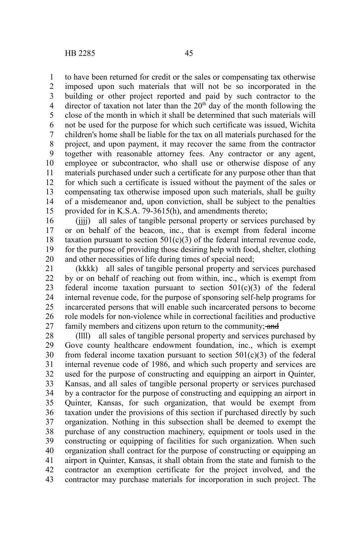to have been returned for credit or the sales or compensating tax otherwise imposed upon such materials that will not be so incorporated in the building or other project reported and paid by such contractor to the director of taxation not later than the  $20<sup>th</sup>$  day of the month following the close of the month in which it shall be determined that such materials will not be used for the purpose for which such certificate was issued, Wichita children's home shall be liable for the tax on all materials purchased for the project, and upon payment, it may recover the same from the contractor together with reasonable attorney fees. Any contractor or any agent, employee or subcontractor, who shall use or otherwise dispose of any materials purchased under such a certificate for any purpose other than that for which such a certificate is issued without the payment of the sales or compensating tax otherwise imposed upon such materials, shall be guilty of a misdemeanor and, upon conviction, shall be subject to the penalties provided for in K.S.A. 79-3615(h), and amendments thereto; 1 2 3 4 5 6 7 8 9 10 11 12 13 14 15

(iiii) all sales of tangible personal property or services purchased by or on behalf of the beacon, inc., that is exempt from federal income taxation pursuant to section  $501(c)(3)$  of the federal internal revenue code, for the purpose of providing those desiring help with food, shelter, clothing and other necessities of life during times of special need; 16 17 18 19 20

(kkkk) all sales of tangible personal property and services purchased by or on behalf of reaching out from within, inc., which is exempt from federal income taxation pursuant to section  $501(c)(3)$  of the federal internal revenue code, for the purpose of sponsoring self-help programs for incarcerated persons that will enable such incarcerated persons to become role models for non-violence while in correctional facilities and productive family members and citizens upon return to the community; and 21 22 23 24 25 26 27

(llll) all sales of tangible personal property and services purchased by Gove county healthcare endowment foundation, inc., which is exempt from federal income taxation pursuant to section  $501(c)(3)$  of the federal internal revenue code of 1986, and which such property and services are used for the purpose of constructing and equipping an airport in Quinter, Kansas, and all sales of tangible personal property or services purchased by a contractor for the purpose of constructing and equipping an airport in Quinter, Kansas, for such organization, that would be exempt from taxation under the provisions of this section if purchased directly by such organization. Nothing in this subsection shall be deemed to exempt the purchase of any construction machinery, equipment or tools used in the constructing or equipping of facilities for such organization. When such organization shall contract for the purpose of constructing or equipping an airport in Quinter, Kansas, it shall obtain from the state and furnish to the contractor an exemption certificate for the project involved, and the contractor may purchase materials for incorporation in such project. The 28 29 30 31 32 33 34 35 36 37 38 39 40 41 42 43